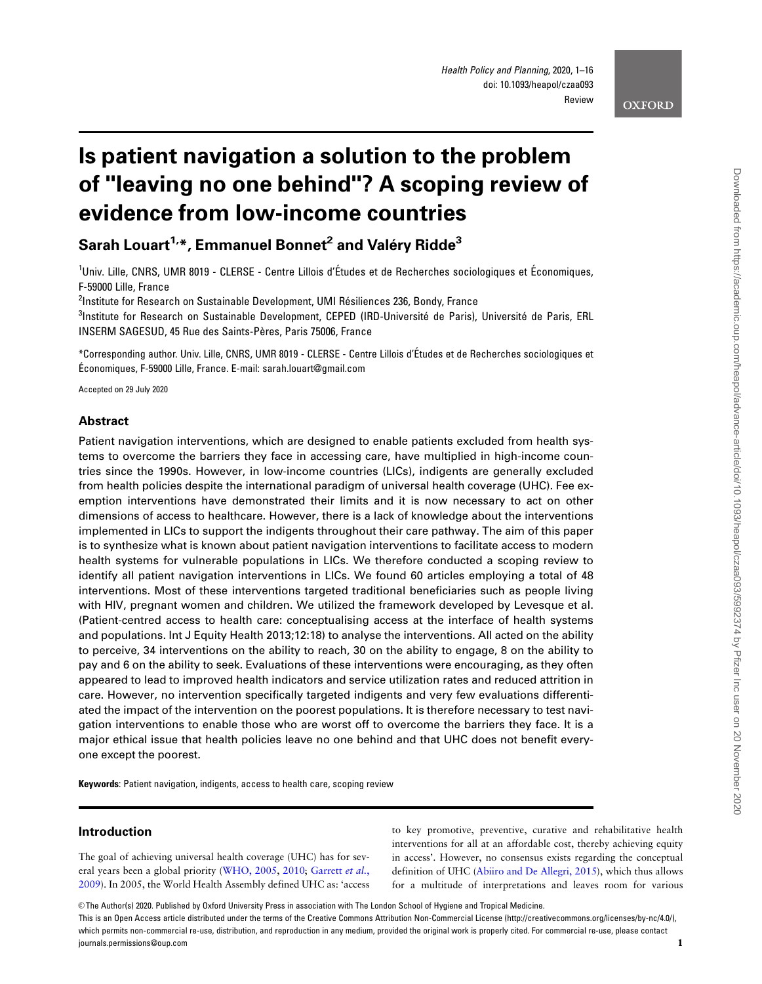# Is patient navigation a solution to the problem of "leaving no one behind"? A scoping review of evidence from low-income countries

Sarah Louart<sup>1,\*</sup>, Emmanuel Bonnet<sup>2</sup> and Valéry Ridde<sup>3</sup>

<sup>1</sup>Univ. Lille, CNRS, UMR 8019 - CLERSE - Centre Lillois d'Études et de Recherches sociologiques et Économiques, F-59000 Lille, France

<sup>2</sup>Institute for Research on Sustainable Development, UMI Résiliences 236, Bondy, France

<sup>3</sup>Institute for Research on Sustainable Development, CEPED (IRD-Université de Paris), Université de Paris, ERL INSERM SAGESUD, 45 Rue des Saints-Pères, Paris 75006, France

\*Corresponding author. Univ. Lille, CNRS, UMR 8019 - CLERSE - Centre Lillois d'E´tudes et de Recherches sociologiques et E´conomiques, F-59000 Lille, France. E-mail: sarah.louart@gmail.com

Accepted on 29 July 2020

# Abstract

Patient navigation interventions, which are designed to enable patients excluded from health systems to overcome the barriers they face in accessing care, have multiplied in high-income countries since the 1990s. However, in low-income countries (LICs), indigents are generally excluded from health policies despite the international paradigm of universal health coverage (UHC). Fee exemption interventions have demonstrated their limits and it is now necessary to act on other dimensions of access to healthcare. However, there is a lack of knowledge about the interventions implemented in LICs to support the indigents throughout their care pathway. The aim of this paper is to synthesize what is known about patient navigation interventions to facilitate access to modern health systems for vulnerable populations in LICs. We therefore conducted a scoping review to identify all patient navigation interventions in LICs. We found 60 articles employing a total of 48 interventions. Most of these interventions targeted traditional beneficiaries such as people living with HIV, pregnant women and children. We utilized the framework developed by Levesque et al. (Patient-centred access to health care: conceptualising access at the interface of health systems and populations. Int J Equity Health 2013;12:18) to analyse the interventions. All acted on the ability to perceive, 34 interventions on the ability to reach, 30 on the ability to engage, 8 on the ability to pay and 6 on the ability to seek. Evaluations of these interventions were encouraging, as they often appeared to lead to improved health indicators and service utilization rates and reduced attrition in care. However, no intervention specifically targeted indigents and very few evaluations differentiated the impact of the intervention on the poorest populations. It is therefore necessary to test navigation interventions to enable those who are worst off to overcome the barriers they face. It is a major ethical issue that health policies leave no one behind and that UHC does not benefit everyone except the poorest.

Keywords: Patient navigation, indigents, access to health care, scoping review

# Introduction

The goal of achieving universal health coverage (UHC) has for several years been a global priority ([WHO, 2005,](#page-15-0) [2010](#page-15-0); [Garrett](#page-13-0) et al., [2009\)](#page-13-0). In 2005, the World Health Assembly defined UHC as: 'access to key promotive, preventive, curative and rehabilitative health interventions for all at an affordable cost, thereby achieving equity in access'. However, no consensus exists regarding the conceptual definition of UHC [\(Abiiro and De Allegri, 2015\)](#page-13-0), which thus allows for a multitude of interpretations and leaves room for various

This is an Open Access article distributed under the terms of the Creative Commons Attribution Non-Commercial License (http://creativecommons.org/licenses/by-nc/4.0/), which permits non-commercial re-use, distribution, and reproduction in any medium, provided the original work is properly cited. For commercial re-use, please contact journals.permissions@oup.com 1

<sup>©</sup> The Author(s) 2020. Published by Oxford University Press in association with The London School of Hygiene and Tropical Medicine.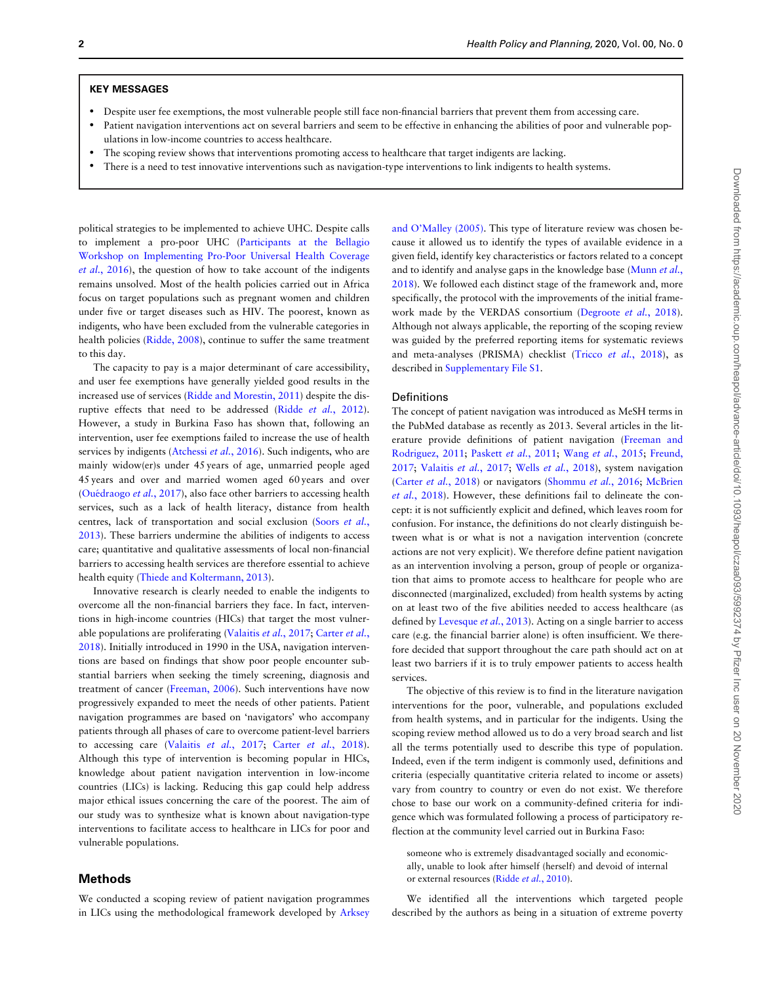# KEY MESSAGES

- Despite user fee exemptions, the most vulnerable people still face non-financial barriers that prevent them from accessing care.
- Patient navigation interventions act on several barriers and seem to be effective in enhancing the abilities of poor and vulnerable populations in low-income countries to access healthcare.
- The scoping review shows that interventions promoting access to healthcare that target indigents are lacking.
- There is a need to test innovative interventions such as navigation-type interventions to link indigents to health systems.

political strategies to be implemented to achieve UHC. Despite calls to implement a pro-poor UHC [\(Participants at the Bellagio](#page-14-0) [Workshop on Implementing Pro-Poor Universal Health Coverage](#page-14-0) et al.[, 2016\)](#page-14-0), the question of how to take account of the indigents remains unsolved. Most of the health policies carried out in Africa focus on target populations such as pregnant women and children under five or target diseases such as HIV. The poorest, known as indigents, who have been excluded from the vulnerable categories in health policies ([Ridde, 2008](#page-15-0)), continue to suffer the same treatment to this day.

The capacity to pay is a major determinant of care accessibility, and user fee exemptions have generally yielded good results in the increased use of services [\(Ridde and Morestin, 2011](#page-15-0)) despite the disruptive effects that need to be addressed (Ridde et al.[, 2012](#page-15-0)). However, a study in Burkina Faso has shown that, following an intervention, user fee exemptions failed to increase the use of health services by indigents [\(Atchessi](#page-13-0) et al., 2016). Such indigents, who are mainly widow(er)s under 45 years of age, unmarried people aged 45 years and over and married women aged 60 years and over (Ouédraogo et al., 2017), also face other barriers to accessing health services, such as a lack of health literacy, distance from health centres, lack of transportation and social exclusion ([Soors](#page-15-0) et al., [2013\)](#page-15-0). These barriers undermine the abilities of indigents to access care; quantitative and qualitative assessments of local non-financial barriers to accessing health services are therefore essential to achieve health equity [\(Thiede and Koltermann, 2013\)](#page-15-0).

Innovative research is clearly needed to enable the indigents to overcome all the non-financial barriers they face. In fact, interventions in high-income countries (HICs) that target the most vulnerable populations are proliferating ([Valaitis](#page-15-0) et al., 2017; [Carter](#page-13-0) et al., [2018\)](#page-13-0). Initially introduced in 1990 in the USA, navigation interventions are based on findings that show poor people encounter substantial barriers when seeking the timely screening, diagnosis and treatment of cancer ([Freeman, 2006\)](#page-13-0). Such interventions have now progressively expanded to meet the needs of other patients. Patient navigation programmes are based on 'navigators' who accompany patients through all phases of care to overcome patient-level barriers to accessing care ([Valaitis](#page-15-0) et al., 2017; Carter et al.[, 2018](#page-13-0)). Although this type of intervention is becoming popular in HICs, knowledge about patient navigation intervention in low-income countries (LICs) is lacking. Reducing this gap could help address major ethical issues concerning the care of the poorest. The aim of our study was to synthesize what is known about navigation-type interventions to facilitate access to healthcare in LICs for poor and vulnerable populations.

### Methods

We conducted a scoping review of patient navigation programmes in LICs using the methodological framework developed by [Arksey](#page-13-0)

[and O'Malley \(2005\).](#page-13-0) This type of literature review was chosen because it allowed us to identify the types of available evidence in a given field, identify key characteristics or factors related to a concept and to identify and analyse gaps in the knowledge base [\(Munn](#page-14-0) et al., [2018\)](#page-14-0). We followed each distinct stage of the framework and, more specifically, the protocol with the improvements of the initial frame-work made by the VERDAS consortium ([Degroote](#page-13-0) et al., 2018). Although not always applicable, the reporting of the scoping review was guided by the preferred reporting items for systematic reviews and meta-analyses (PRISMA) checklist (Tricco et al.[, 2018\)](#page-15-0), as described in [Supplementary File S1](https://academic.oup.com/heapol/article-lookup/doi/10.1093/heapol/czaa093#supplementary-data).

#### Definitions

The concept of patient navigation was introduced as MeSH terms in the PubMed database as recently as 2013. Several articles in the literature provide definitions of patient navigation ([Freeman and](#page-13-0) [Rodriguez, 2011](#page-13-0); [Paskett](#page-14-0) et al., 2011; Wang et al.[, 2015](#page-15-0); [Freund,](#page-13-0) [2017;](#page-13-0) [Valaitis](#page-15-0) et al., 2017; Wells et al.[, 2018](#page-15-0)), system navigation (Carter et al.[, 2018](#page-13-0)) or navigators ([Shommu](#page-15-0) et al., 2016; [McBrien](#page-14-0) et al.[, 2018](#page-14-0)). However, these definitions fail to delineate the concept: it is not sufficiently explicit and defined, which leaves room for confusion. For instance, the definitions do not clearly distinguish between what is or what is not a navigation intervention (concrete actions are not very explicit). We therefore define patient navigation as an intervention involving a person, group of people or organization that aims to promote access to healthcare for people who are disconnected (marginalized, excluded) from health systems by acting on at least two of the five abilities needed to access healthcare (as defined by [Levesque](#page-14-0) et al., 2013). Acting on a single barrier to access care (e.g. the financial barrier alone) is often insufficient. We therefore decided that support throughout the care path should act on at least two barriers if it is to truly empower patients to access health services.

The objective of this review is to find in the literature navigation interventions for the poor, vulnerable, and populations excluded from health systems, and in particular for the indigents. Using the scoping review method allowed us to do a very broad search and list all the terms potentially used to describe this type of population. Indeed, even if the term indigent is commonly used, definitions and criteria (especially quantitative criteria related to income or assets) vary from country to country or even do not exist. We therefore chose to base our work on a community-defined criteria for indigence which was formulated following a process of participatory reflection at the community level carried out in Burkina Faso:

someone who is extremely disadvantaged socially and economically, unable to look after himself (herself) and devoid of internal or external resources (Ridde et al.[, 2010\)](#page-15-0).

We identified all the interventions which targeted people described by the authors as being in a situation of extreme poverty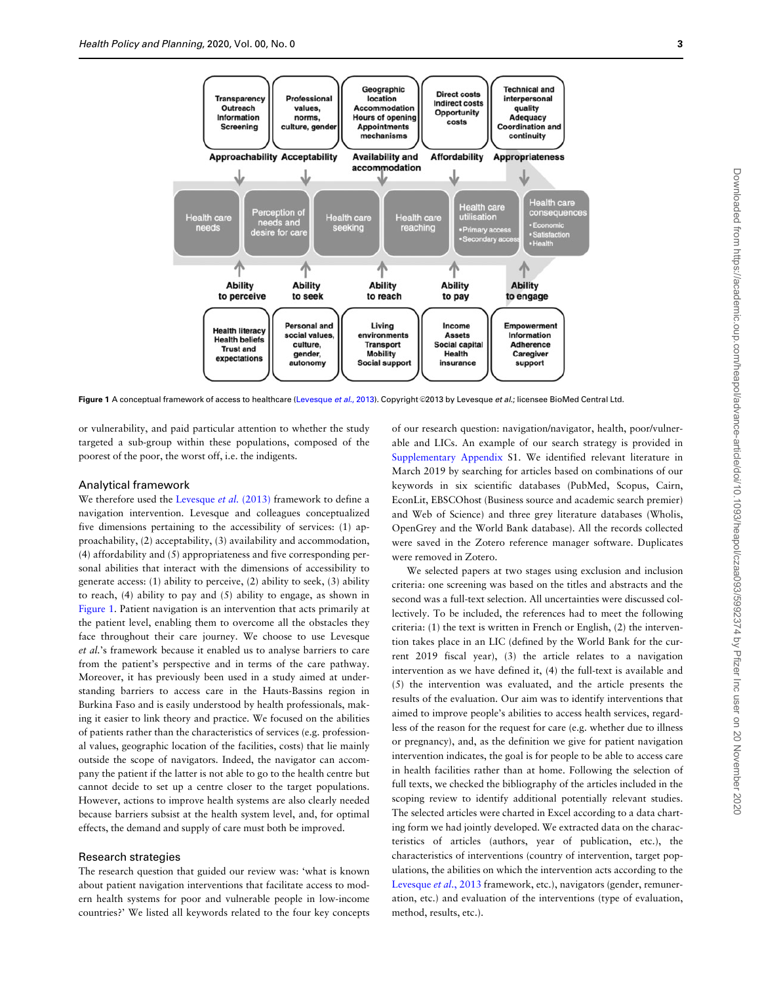

Figure 1 A conceptual framework of access to healthcare [\(Levesque](#page-14-0) et al., 2013). Copyright @2013 by Levesque et al.; licensee BioMed Central Ltd.

or vulnerability, and paid particular attention to whether the study targeted a sub-group within these populations, composed of the poorest of the poor, the worst off, i.e. the indigents.

#### Analytical framework

We therefore used the [Levesque](#page-14-0) et al. (2013) framework to define a navigation intervention. Levesque and colleagues conceptualized five dimensions pertaining to the accessibility of services: (1) approachability, (2) acceptability, (3) availability and accommodation, (4) affordability and (5) appropriateness and five corresponding personal abilities that interact with the dimensions of accessibility to generate access: (1) ability to perceive, (2) ability to seek, (3) ability to reach, (4) ability to pay and (5) ability to engage, as shown in Figure 1. Patient navigation is an intervention that acts primarily at the patient level, enabling them to overcome all the obstacles they face throughout their care journey. We choose to use Levesque et al.'s framework because it enabled us to analyse barriers to care from the patient's perspective and in terms of the care pathway. Moreover, it has previously been used in a study aimed at understanding barriers to access care in the Hauts-Bassins region in Burkina Faso and is easily understood by health professionals, making it easier to link theory and practice. We focused on the abilities of patients rather than the characteristics of services (e.g. professional values, geographic location of the facilities, costs) that lie mainly outside the scope of navigators. Indeed, the navigator can accompany the patient if the latter is not able to go to the health centre but cannot decide to set up a centre closer to the target populations. However, actions to improve health systems are also clearly needed because barriers subsist at the health system level, and, for optimal effects, the demand and supply of care must both be improved.

#### Research strategies

The research question that guided our review was: 'what is known about patient navigation interventions that facilitate access to modern health systems for poor and vulnerable people in low-income countries?' We listed all keywords related to the four key concepts of our research question: navigation/navigator, health, poor/vulnerable and LICs. An example of our search strategy is provided in [Supplementary Appendix](https://academic.oup.com/heapol/article-lookup/doi/10.1093/heapol/czaa093#supplementary-data) S1. We identified relevant literature in March 2019 by searching for articles based on combinations of our keywords in six scientific databases (PubMed, Scopus, Cairn, EconLit, EBSCOhost (Business source and academic search premier) and Web of Science) and three grey literature databases (Wholis, OpenGrey and the World Bank database). All the records collected were saved in the Zotero reference manager software. Duplicates were removed in Zotero.

We selected papers at two stages using exclusion and inclusion criteria: one screening was based on the titles and abstracts and the second was a full-text selection. All uncertainties were discussed collectively. To be included, the references had to meet the following criteria: (1) the text is written in French or English, (2) the intervention takes place in an LIC (defined by the World Bank for the current 2019 fiscal year), (3) the article relates to a navigation intervention as we have defined it, (4) the full-text is available and (5) the intervention was evaluated, and the article presents the results of the evaluation. Our aim was to identify interventions that aimed to improve people's abilities to access health services, regardless of the reason for the request for care (e.g. whether due to illness or pregnancy), and, as the definition we give for patient navigation intervention indicates, the goal is for people to be able to access care in health facilities rather than at home. Following the selection of full texts, we checked the bibliography of the articles included in the scoping review to identify additional potentially relevant studies. The selected articles were charted in Excel according to a data charting form we had jointly developed. We extracted data on the characteristics of articles (authors, year of publication, etc.), the characteristics of interventions (country of intervention, target populations, the abilities on which the intervention acts according to the [Levesque](#page-14-0) et al., 2013 framework, etc.), navigators (gender, remuneration, etc.) and evaluation of the interventions (type of evaluation, method, results, etc.).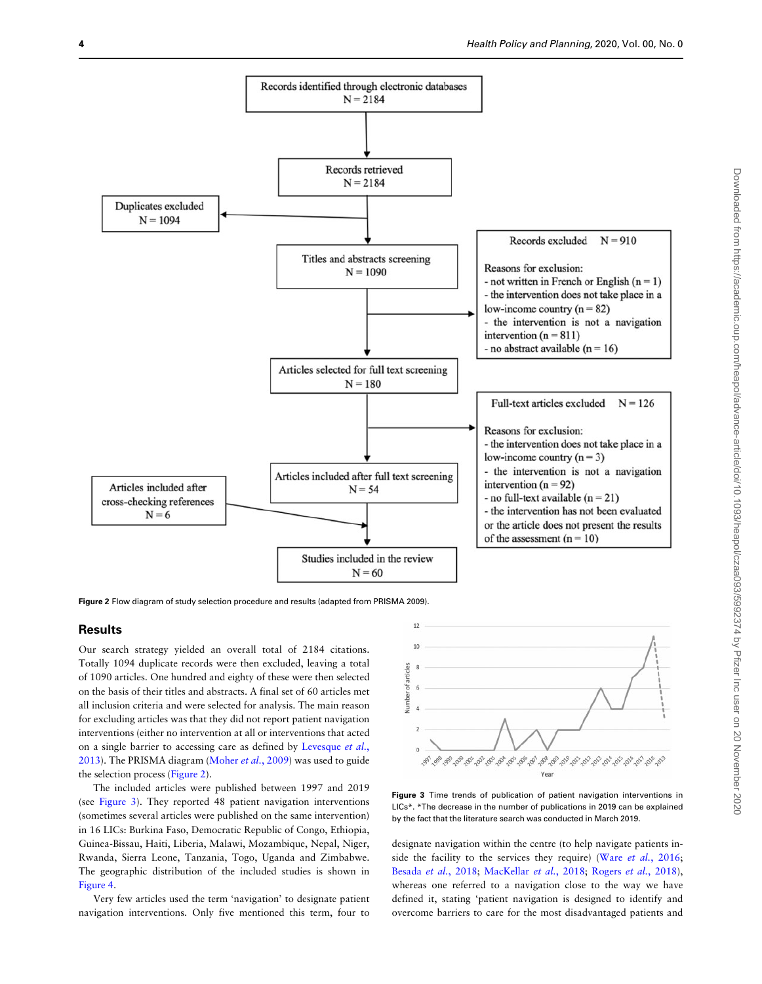

Figure 2 Flow diagram of study selection procedure and results (adapted from PRISMA 2009).

# **Results**

Our search strategy yielded an overall total of 2184 citations. Totally 1094 duplicate records were then excluded, leaving a total of 1090 articles. One hundred and eighty of these were then selected on the basis of their titles and abstracts. A final set of 60 articles met all inclusion criteria and were selected for analysis. The main reason for excluding articles was that they did not report patient navigation interventions (either no intervention at all or interventions that acted on a single barrier to accessing care as defined by [Levesque](#page-14-0) et al., [2013\)](#page-14-0). The PRISMA diagram [\(Moher](#page-14-0) et al., 2009) was used to guide the selection process (Figure 2).

The included articles were published between 1997 and 2019 (see Figure 3). They reported 48 patient navigation interventions (sometimes several articles were published on the same intervention) in 16 LICs: Burkina Faso, Democratic Republic of Congo, Ethiopia, Guinea-Bissau, Haiti, Liberia, Malawi, Mozambique, Nepal, Niger, Rwanda, Sierra Leone, Tanzania, Togo, Uganda and Zimbabwe. The geographic distribution of the included studies is shown in [Figure 4](#page-4-0).

Very few articles used the term 'navigation' to designate patient navigation interventions. Only five mentioned this term, four to



Figure 3 Time trends of publication of patient navigation interventions in LICs\*. \*The decrease in the number of publications in 2019 can be explained by the fact that the literature search was conducted in March 2019.

designate navigation within the centre (to help navigate patients in-side the facility to the services they require) (Ware et al.[, 2016;](#page-15-0) [Besada](#page-13-0) et al., 2018; [MacKellar](#page-14-0) et al., 2018; [Rogers](#page-15-0) et al., 2018), whereas one referred to a navigation close to the way we have defined it, stating 'patient navigation is designed to identify and overcome barriers to care for the most disadvantaged patients and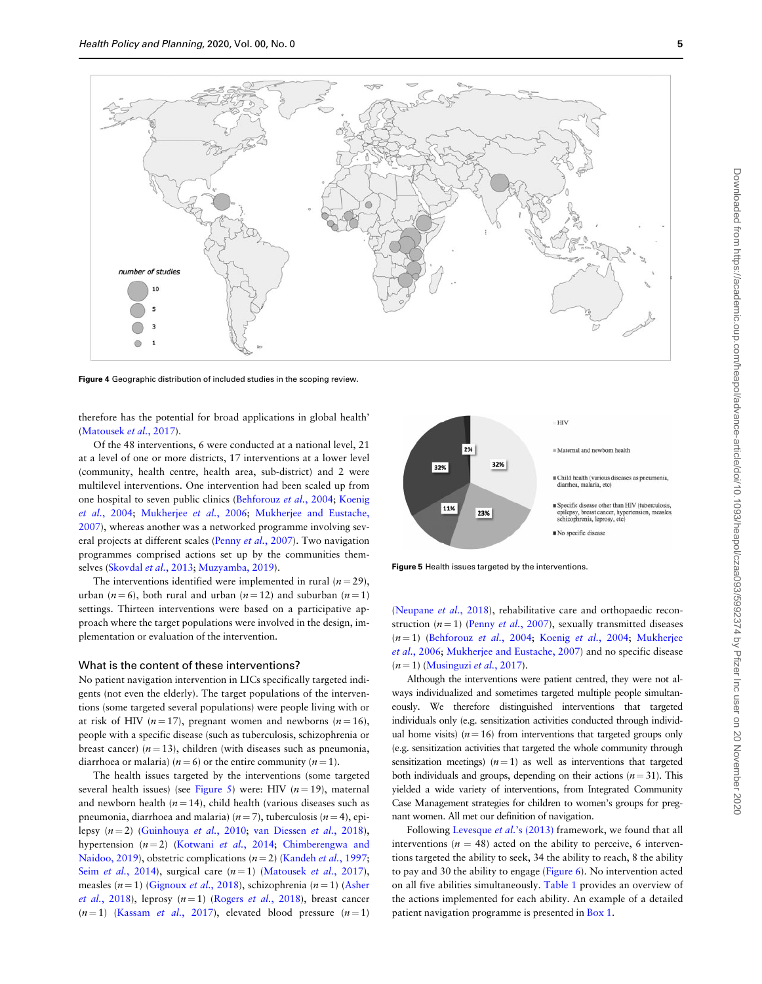<span id="page-4-0"></span>

Figure 4 Geographic distribution of included studies in the scoping review.

therefore has the potential for broad applications in global health' ([Matousek](#page-14-0) et al., 2017).

Of the 48 interventions, 6 were conducted at a national level, 21 at a level of one or more districts, 17 interventions at a lower level (community, health centre, health area, sub-district) and 2 were multilevel interventions. One intervention had been scaled up from one hospital to seven public clinics ([Behforouz](#page-13-0) et al., 2004; [Koenig](#page-14-0) et al.[, 2004;](#page-14-0) [Mukherjee](#page-14-0) et al., 2006; [Mukherjee and Eustache,](#page-14-0) [2007\)](#page-14-0), whereas another was a networked programme involving several projects at different scales (Penny et al.[, 2007](#page-15-0)). Two navigation programmes comprised actions set up by the communities themselves [\(Skovdal](#page-15-0) et al., 2013; [Muzyamba, 2019](#page-14-0)).

The interventions identified were implemented in rural  $(n = 29)$ , urban ( $n = 6$ ), both rural and urban ( $n = 12$ ) and suburban ( $n = 1$ ) settings. Thirteen interventions were based on a participative approach where the target populations were involved in the design, implementation or evaluation of the intervention.

#### What is the content of these interventions?

No patient navigation intervention in LICs specifically targeted indigents (not even the elderly). The target populations of the interventions (some targeted several populations) were people living with or at risk of HIV ( $n = 17$ ), pregnant women and newborns ( $n = 16$ ), people with a specific disease (such as tuberculosis, schizophrenia or breast cancer) ( $n = 13$ ), children (with diseases such as pneumonia, diarrhoea or malaria) ( $n = 6$ ) or the entire community ( $n = 1$ ).

The health issues targeted by the interventions (some targeted several health issues) (see Figure 5) were: HIV  $(n=19)$ , maternal and newborn health ( $n = 14$ ), child health (various diseases such as pneumonia, diarrhoea and malaria) ( $n = 7$ ), tuberculosis ( $n = 4$ ), epilepsy  $(n = 2)$  ([Guinhouya](#page-13-0) et al., 2010; [van Diessen](#page-13-0) et al., 2018), hypertension  $(n = 2)$  [\(Kotwani](#page-14-0) et al., 2014; [Chimberengwa and](#page-13-0) [Naidoo, 2019](#page-13-0)), obstetric complications ( $n = 2$ ) ([Kandeh](#page-14-0) et al., 1997; Seim et al.[, 2014](#page-15-0)), surgical care  $(n=1)$  ([Matousek](#page-14-0) et al., 2017), measles ( $n = 1$ ) ([Gignoux](#page-13-0) *et al.*, 2018), schizophrenia ( $n = 1$ ) [\(Asher](#page-13-0) et al.[, 2018](#page-13-0)), leprosy  $(n=1)$  (Rogers et al.[, 2018\)](#page-15-0), breast cancer  $(n = 1)$  [\(Kassam](#page-14-0) *et al.*, 2017), elevated blood pressure  $(n = 1)$ 



Figure 5 Health issues targeted by the interventions.

([Neupane](#page-14-0) et al., 2018), rehabilitative care and orthopaedic reconstruction ( $n = 1$ ) (Penny et al.[, 2007](#page-15-0)), sexually transmitted diseases  $(n = 1)$  ([Behforouz](#page-13-0) et al., 2004; [Koenig](#page-14-0) et al., 2004; [Mukherjee](#page-14-0) et al.[, 2006](#page-14-0); [Mukherjee and Eustache, 2007](#page-14-0)) and no specific disease  $(n = 1)$  ([Musinguzi](#page-14-0) *et al.*, 2017).

Although the interventions were patient centred, they were not always individualized and sometimes targeted multiple people simultaneously. We therefore distinguished interventions that targeted individuals only (e.g. sensitization activities conducted through individual home visits) ( $n = 16$ ) from interventions that targeted groups only (e.g. sensitization activities that targeted the whole community through sensitization meetings) ( $n=1$ ) as well as interventions that targeted both individuals and groups, depending on their actions ( $n = 31$ ). This yielded a wide variety of interventions, from Integrated Community Case Management strategies for children to women's groups for pregnant women. All met our definition of navigation.

Following [Levesque](#page-14-0) et al.'s (2013) framework, we found that all interventions ( $n = 48$ ) acted on the ability to perceive, 6 interventions targeted the ability to seek, 34 the ability to reach, 8 the ability to pay and 30 the ability to engage ([Figure 6\)](#page-5-0). No intervention acted on all five abilities simultaneously. [Table 1](#page-6-0) provides an overview of the actions implemented for each ability. An example of a detailed patient navigation programme is presented in [Box 1.](#page-7-0)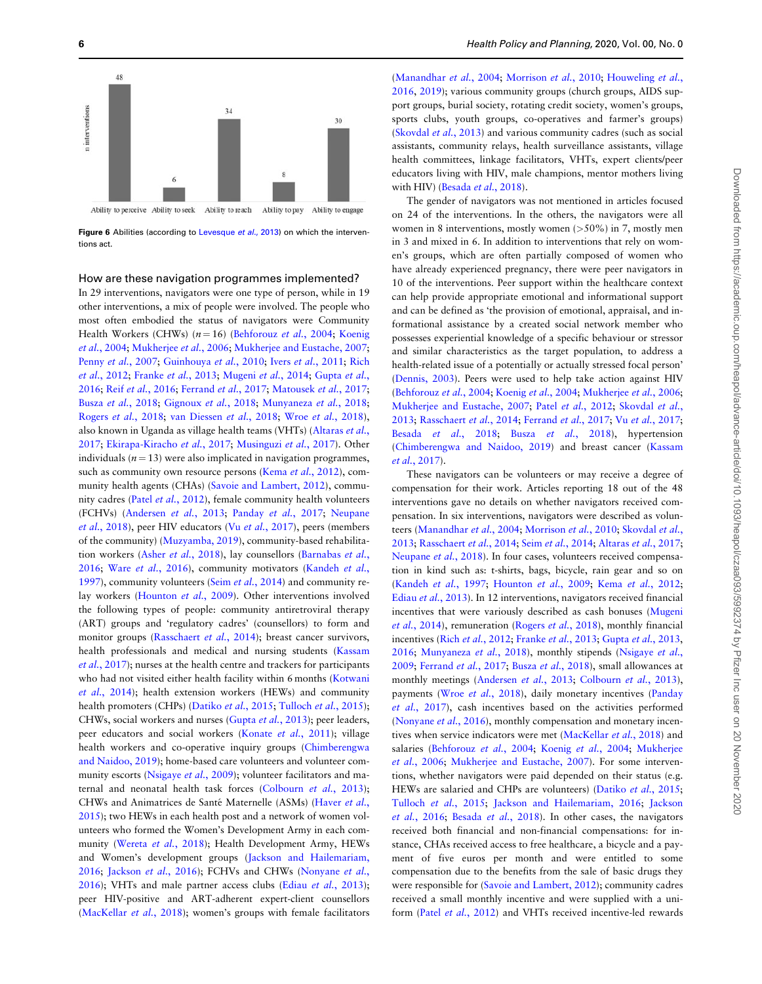<span id="page-5-0"></span>

Figure 6 Abilities (according to [Levesque](#page-14-0) et al., 2013) on which the interventions act.

How are these navigation programmes implemented?

In 29 interventions, navigators were one type of person, while in 19 other interventions, a mix of people were involved. The people who most often embodied the status of navigators were Community Health Workers (CHWs)  $(n = 16)$  ([Behforouz](#page-13-0) et al., 2004; [Koenig](#page-14-0) et al.[, 2004;](#page-14-0) [Mukherjee](#page-14-0) et al., 2006; [Mukherjee and Eustache, 2007;](#page-14-0) Penny et al.[, 2007](#page-15-0); [Guinhouya](#page-13-0) et al., 2010; Ivers et al.[, 2011](#page-14-0); [Rich](#page-15-0) et al.[, 2012](#page-15-0); [Franke](#page-13-0) et al., 2013; [Mugeni](#page-14-0) et al., 2014; [Gupta](#page-14-0) et al., [2016;](#page-14-0) Reif et al.[, 2016](#page-15-0); [Ferrand](#page-13-0) et al., 2017; [Matousek](#page-14-0) et al., 2017; Busza et al.[, 2018;](#page-13-0) [Gignoux](#page-13-0) et al., 2018; [Munyaneza](#page-14-0) et al., 2018; [Rogers](#page-15-0) et al., 2018; [van Diessen](#page-13-0) et al., 2018; Wroe et al.[, 2018](#page-15-0)), also known in Uganda as village health teams (VHTs) [\(Altaras](#page-13-0) et al., [2017;](#page-13-0) [Ekirapa-Kiracho](#page-13-0) et al., 2017; [Musinguzi](#page-14-0) et al., 2017). Other individuals ( $n = 13$ ) were also implicated in navigation programmes, such as community own resource persons (Kema et al.[, 2012\)](#page-14-0), com-munity health agents (CHAs) ([Savoie and Lambert, 2012](#page-15-0)), community cadres (Patel et al.[, 2012](#page-14-0)), female community health volunteers (FCHVs) ([Andersen](#page-13-0) et al., 2013; [Panday](#page-14-0) et al., 2017; [Neupane](#page-14-0) et al.[, 2018\)](#page-14-0), peer HIV educators (Vu et al.[, 2017\)](#page-15-0), peers (members of the community) [\(Muzyamba, 2019\)](#page-14-0), community-based rehabilitation workers (Asher et al.[, 2018\)](#page-13-0), lay counsellors [\(Barnabas](#page-13-0) et al., [2016;](#page-13-0) Ware et al.[, 2016](#page-15-0)), community motivators [\(Kandeh](#page-14-0) et al., [1997\)](#page-14-0), community volunteers (Seim et al.[, 2014\)](#page-15-0) and community relay workers ([Hounton](#page-14-0) et al., 2009). Other interventions involved the following types of people: community antiretroviral therapy (ART) groups and 'regulatory cadres' (counsellors) to form and monitor groups ([Rasschaert](#page-15-0) et al., 2014); breast cancer survivors, health professionals and medical and nursing students ([Kassam](#page-14-0) et al.[, 2017\)](#page-14-0); nurses at the health centre and trackers for participants who had not visited either health facility within 6 months [\(Kotwani](#page-14-0) et al.[, 2014\)](#page-14-0); health extension workers (HEWs) and community health promoters (CHPs) [\(Datiko](#page-13-0) et al., 2015; [Tulloch](#page-15-0) et al., 2015); CHWs, social workers and nurses (Gupta et al.[, 2013](#page-13-0)); peer leaders, peer educators and social workers [\(Konate](#page-14-0) et al., 2011); village health workers and co-operative inquiry groups ([Chimberengwa](#page-13-0) [and Naidoo, 2019](#page-13-0)); home-based care volunteers and volunteer com-munity escorts [\(Nsigaye](#page-14-0) et al., 2009); volunteer facilitators and ma-ternal and neonatal health task forces [\(Colbourn](#page-13-0) et al., 2013); CHWs and Animatrices de Santé Maternelle (ASMs) [\(Haver](#page-14-0) et al., [2015\)](#page-14-0); two HEWs in each health post and a network of women volunteers who formed the Women's Development Army in each community ([Wereta](#page-15-0) et al., 2018); Health Development Army, HEWs and Women's development groups [\(Jackson and Hailemariam,](#page-14-0) [2016;](#page-14-0) [Jackson](#page-14-0) et al., 2016); FCHVs and CHWs ([Nonyane](#page-14-0) et al., [2016\)](#page-14-0); VHTs and male partner access clubs (Ediau et al.[, 2013](#page-13-0)); peer HIV-positive and ART-adherent expert-client counsellors ([MacKellar](#page-14-0) et al., 2018); women's groups with female facilitators

([Manandhar](#page-14-0) et al., 2004; [Morrison](#page-14-0) et al., 2010; [Houweling](#page-14-0) et al., [2016,](#page-14-0) [2019](#page-14-0)); various community groups (church groups, AIDS support groups, burial society, rotating credit society, women's groups, sports clubs, youth groups, co-operatives and farmer's groups) ([Skovdal](#page-15-0) et al., 2013) and various community cadres (such as social assistants, community relays, health surveillance assistants, village health committees, linkage facilitators, VHTs, expert clients/peer educators living with HIV, male champions, mentor mothers living with HIV) [\(Besada](#page-13-0) et al., 2018).

The gender of navigators was not mentioned in articles focused on 24 of the interventions. In the others, the navigators were all women in 8 interventions, mostly women (>50%) in 7, mostly men in 3 and mixed in 6. In addition to interventions that rely on women's groups, which are often partially composed of women who have already experienced pregnancy, there were peer navigators in 10 of the interventions. Peer support within the healthcare context can help provide appropriate emotional and informational support and can be defined as 'the provision of emotional, appraisal, and informational assistance by a created social network member who possesses experiential knowledge of a specific behaviour or stressor and similar characteristics as the target population, to address a health-related issue of a potentially or actually stressed focal person' ([Dennis, 2003](#page-13-0)). Peers were used to help take action against HIV ([Behforouz](#page-13-0) et al., 2004; [Koenig](#page-14-0) et al., 2004; [Mukherjee](#page-14-0) et al., 2006; [Mukherjee and Eustache, 2007;](#page-14-0) Patel et al.[, 2012;](#page-14-0) [Skovdal](#page-15-0) et al., [2013;](#page-15-0) [Rasschaert](#page-15-0) et al., 2014; [Ferrand](#page-13-0) et al., 2017; Vu et al.[, 2017;](#page-15-0) Besada et al.[, 2018;](#page-13-0) Busza et al.[, 2018](#page-13-0)), hypertension ([Chimberengwa and Naidoo, 2019\)](#page-13-0) and breast cancer ([Kassam](#page-14-0) et al.[, 2017\)](#page-14-0).

These navigators can be volunteers or may receive a degree of compensation for their work. Articles reporting 18 out of the 48 interventions gave no details on whether navigators received compensation. In six interventions, navigators were described as volunteers ([Manandhar](#page-14-0) et al., 2004; [Morrison](#page-14-0) et al., 2010; [Skovdal](#page-15-0) et al., [2013;](#page-15-0) [Rasschaert](#page-15-0) et al., 2014; Seim et al.[, 2014;](#page-15-0) [Altaras](#page-13-0) et al., 2017; [Neupane](#page-14-0) et al., 2018). In four cases, volunteers received compensation in kind such as: t-shirts, bags, bicycle, rain gear and so on ([Kandeh](#page-14-0) et al., 1997; [Hounton](#page-14-0) et al., 2009; Kema et al.[, 2012;](#page-14-0) Ediau et al.[, 2013\)](#page-13-0). In 12 interventions, navigators received financial incentives that were variously described as cash bonuses ([Mugeni](#page-14-0) et al.[, 2014\)](#page-14-0), remuneration [\(Rogers](#page-15-0) et al., 2018), monthly financial incentives (Rich et al.[, 2012;](#page-15-0) [Franke](#page-13-0) et al., 2013; Gupta et al.[, 2013,](#page-13-0) [2016;](#page-14-0) [Munyaneza](#page-14-0) et al., 2018), monthly stipends ([Nsigaye](#page-14-0) et al., [2009;](#page-14-0) [Ferrand](#page-13-0) et al., 2017; Busza et al.[, 2018\)](#page-13-0), small allowances at monthly meetings ([Andersen](#page-13-0) et al., 2013; [Colbourn](#page-13-0) et al., 2013), payments (Wroe et al.[, 2018\)](#page-15-0), daily monetary incentives ([Panday](#page-14-0) et al.[, 2017\)](#page-14-0), cash incentives based on the activities performed ([Nonyane](#page-14-0) et al., 2016), monthly compensation and monetary incentives when service indicators were met [\(MacKellar](#page-14-0) et al., 2018) and salaries [\(Behforouz](#page-13-0) et al., 2004; [Koenig](#page-14-0) et al., 2004; [Mukherjee](#page-14-0) et al.[, 2006;](#page-14-0) [Mukherjee and Eustache, 2007](#page-14-0)). For some interventions, whether navigators were paid depended on their status (e.g. HEWs are salaried and CHPs are volunteers) ([Datiko](#page-13-0) et al., 2015; [Tulloch](#page-15-0) et al., 2015; [Jackson and Hailemariam, 2016](#page-14-0); [Jackson](#page-14-0) et al.[, 2016](#page-14-0); Besada et al.[, 2018\)](#page-13-0). In other cases, the navigators received both financial and non-financial compensations: for instance, CHAs received access to free healthcare, a bicycle and a payment of five euros per month and were entitled to some compensation due to the benefits from the sale of basic drugs they were responsible for [\(Savoie and Lambert, 2012](#page-15-0)); community cadres received a small monthly incentive and were supplied with a uniform (Patel et al.[, 2012](#page-14-0)) and VHTs received incentive-led rewards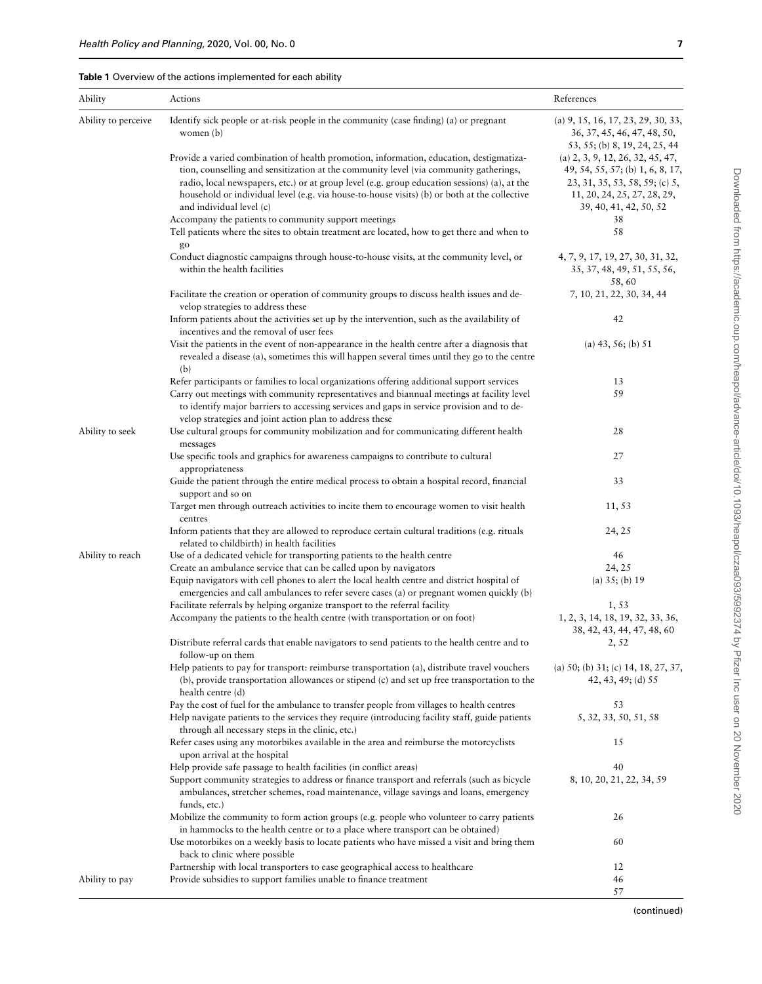# <span id="page-6-0"></span>Table 1 Overview of the actions implemented for each ability

| Ability             | Actions                                                                                                                                                                                                                                                                                                                                                                          | References                                                                                                                            |
|---------------------|----------------------------------------------------------------------------------------------------------------------------------------------------------------------------------------------------------------------------------------------------------------------------------------------------------------------------------------------------------------------------------|---------------------------------------------------------------------------------------------------------------------------------------|
| Ability to perceive | Identify sick people or at-risk people in the community (case finding) (a) or pregnant<br>women (b)                                                                                                                                                                                                                                                                              | (a) $9, 15, 16, 17, 23, 29, 30, 33,$<br>36, 37, 45, 46, 47, 48, 50,<br>53, 55; (b) 8, 19, 24, 25, 44                                  |
|                     | Provide a varied combination of health promotion, information, education, destigmatiza-<br>tion, counselling and sensitization at the community level (via community gatherings,<br>radio, local newspapers, etc.) or at group level (e.g. group education sessions) (a), at the<br>household or individual level (e.g. via house-to-house visits) (b) or both at the collective | (a) 2, 3, 9, 12, 26, 32, 45, 47,<br>49, 54, 55, 57; (b) 1, 6, 8, 17,<br>23, 31, 35, 53, 58, 59; (c) 5,<br>11, 20, 24, 25, 27, 28, 29, |
|                     | and individual level (c)                                                                                                                                                                                                                                                                                                                                                         | 39, 40, 41, 42, 50, 52                                                                                                                |
|                     | Accompany the patients to community support meetings<br>Tell patients where the sites to obtain treatment are located, how to get there and when to<br>go                                                                                                                                                                                                                        | 38<br>58                                                                                                                              |
|                     | Conduct diagnostic campaigns through house-to-house visits, at the community level, or<br>within the health facilities                                                                                                                                                                                                                                                           | 4, 7, 9, 17, 19, 27, 30, 31, 32,<br>35, 37, 48, 49, 51, 55, 56,<br>58,60                                                              |
|                     | Facilitate the creation or operation of community groups to discuss health issues and de-<br>velop strategies to address these                                                                                                                                                                                                                                                   | 7, 10, 21, 22, 30, 34, 44                                                                                                             |
|                     | Inform patients about the activities set up by the intervention, such as the availability of<br>incentives and the removal of user fees                                                                                                                                                                                                                                          | 42                                                                                                                                    |
|                     | Visit the patients in the event of non-appearance in the health centre after a diagnosis that<br>revealed a disease (a), sometimes this will happen several times until they go to the centre<br>(b)                                                                                                                                                                             | (a) $43, 56$ ; (b) $51$                                                                                                               |
|                     | Refer participants or families to local organizations offering additional support services<br>Carry out meetings with community representatives and biannual meetings at facility level<br>to identify major barriers to accessing services and gaps in service provision and to de-<br>velop strategies and joint action plan to address these                                  | 13<br>59                                                                                                                              |
| Ability to seek     | Use cultural groups for community mobilization and for communicating different health                                                                                                                                                                                                                                                                                            | 28                                                                                                                                    |
|                     | messages<br>Use specific tools and graphics for awareness campaigns to contribute to cultural<br>appropriateness                                                                                                                                                                                                                                                                 | 27                                                                                                                                    |
|                     | Guide the patient through the entire medical process to obtain a hospital record, financial<br>support and so on                                                                                                                                                                                                                                                                 | 33                                                                                                                                    |
|                     | Target men through outreach activities to incite them to encourage women to visit health<br>centres                                                                                                                                                                                                                                                                              | 11, 53                                                                                                                                |
|                     | Inform patients that they are allowed to reproduce certain cultural traditions (e.g. rituals<br>related to childbirth) in health facilities                                                                                                                                                                                                                                      | 24, 25                                                                                                                                |
| Ability to reach    | Use of a dedicated vehicle for transporting patients to the health centre                                                                                                                                                                                                                                                                                                        | 46                                                                                                                                    |
|                     | Create an ambulance service that can be called upon by navigators                                                                                                                                                                                                                                                                                                                | 24, 25                                                                                                                                |
|                     | Equip navigators with cell phones to alert the local health centre and district hospital of<br>emergencies and call ambulances to refer severe cases (a) or pregnant women quickly (b)                                                                                                                                                                                           | (a) $35$ ; (b) 19                                                                                                                     |
|                     | Facilitate referrals by helping organize transport to the referral facility<br>Accompany the patients to the health centre (with transportation or on foot)                                                                                                                                                                                                                      | 1,53<br>1, 2, 3, 14, 18, 19, 32, 33, 36,<br>38, 42, 43, 44, 47, 48, 60                                                                |
|                     | Distribute referral cards that enable navigators to send patients to the health centre and to<br>follow-up on them                                                                                                                                                                                                                                                               | 2,52                                                                                                                                  |
|                     | Help patients to pay for transport: reimburse transportation (a), distribute travel vouchers<br>(b), provide transportation allowances or stipend (c) and set up free transportation to the<br>health centre (d)                                                                                                                                                                 | (a) $50$ ; (b) $31$ ; (c) $14$ , $18$ , $27$ , $37$ ,<br>42, 43, 49; (d) 55                                                           |
|                     | Pay the cost of fuel for the ambulance to transfer people from villages to health centres<br>Help navigate patients to the services they require (introducing facility staff, guide patients<br>through all necessary steps in the clinic, etc.)                                                                                                                                 | 53<br>5, 32, 33, 50, 51, 58                                                                                                           |
|                     | Refer cases using any motorbikes available in the area and reimburse the motorcyclists<br>upon arrival at the hospital                                                                                                                                                                                                                                                           | 15                                                                                                                                    |
|                     | Help provide safe passage to health facilities (in conflict areas)                                                                                                                                                                                                                                                                                                               | 40                                                                                                                                    |
|                     | Support community strategies to address or finance transport and referrals (such as bicycle<br>ambulances, stretcher schemes, road maintenance, village savings and loans, emergency<br>funds, etc.)                                                                                                                                                                             | 8, 10, 20, 21, 22, 34, 59                                                                                                             |
|                     | Mobilize the community to form action groups (e.g. people who volunteer to carry patients<br>in hammocks to the health centre or to a place where transport can be obtained)                                                                                                                                                                                                     | 26                                                                                                                                    |
|                     | Use motorbikes on a weekly basis to locate patients who have missed a visit and bring them<br>back to clinic where possible                                                                                                                                                                                                                                                      | 60                                                                                                                                    |
|                     | Partnership with local transporters to ease geographical access to healthcare                                                                                                                                                                                                                                                                                                    | 12                                                                                                                                    |
| Ability to pay      | Provide subsidies to support families unable to finance treatment                                                                                                                                                                                                                                                                                                                | 46<br>57                                                                                                                              |

(continued)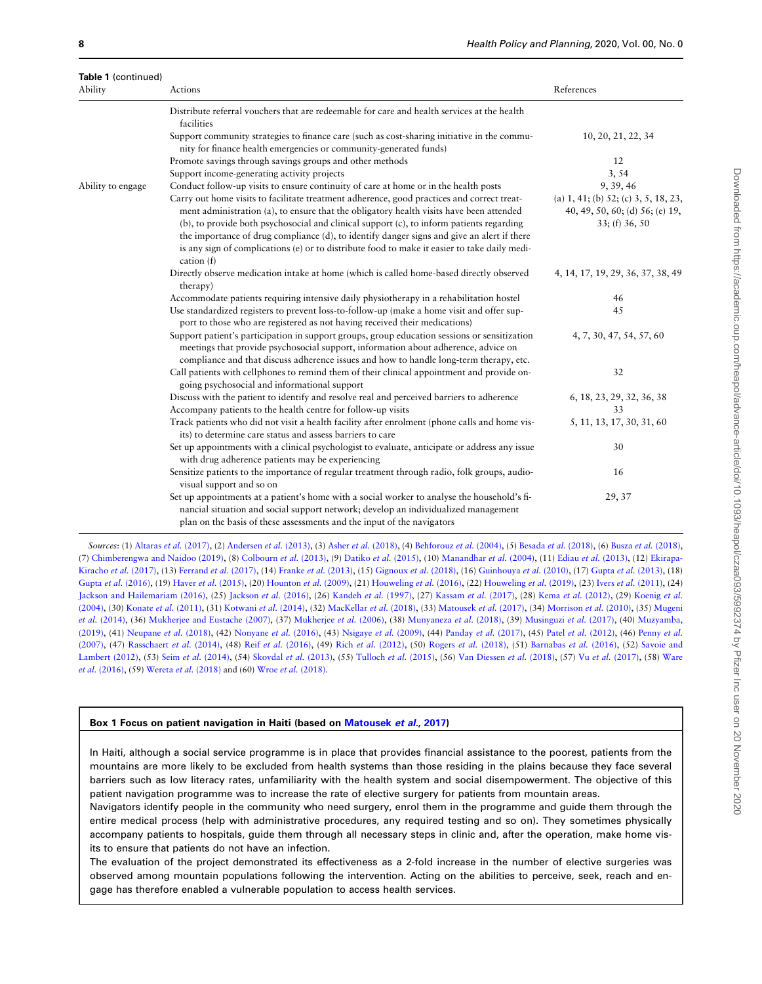<span id="page-7-0"></span>

| Table 1 (continued) |                                                                                                                                                                                                                                                                                                                                                                                                                                                                                               |                                                                                                     |
|---------------------|-----------------------------------------------------------------------------------------------------------------------------------------------------------------------------------------------------------------------------------------------------------------------------------------------------------------------------------------------------------------------------------------------------------------------------------------------------------------------------------------------|-----------------------------------------------------------------------------------------------------|
| Ability             | Actions                                                                                                                                                                                                                                                                                                                                                                                                                                                                                       | References                                                                                          |
|                     | Distribute referral vouchers that are redeemable for care and health services at the health<br>facilities                                                                                                                                                                                                                                                                                                                                                                                     |                                                                                                     |
|                     | Support community strategies to finance care (such as cost-sharing initiative in the commu-<br>nity for finance health emergencies or community-generated funds)                                                                                                                                                                                                                                                                                                                              | 10, 20, 21, 22, 34                                                                                  |
|                     | Promote savings through savings groups and other methods                                                                                                                                                                                                                                                                                                                                                                                                                                      | 12                                                                                                  |
|                     | Support income-generating activity projects                                                                                                                                                                                                                                                                                                                                                                                                                                                   | 3,54                                                                                                |
| Ability to engage   | Conduct follow-up visits to ensure continuity of care at home or in the health posts                                                                                                                                                                                                                                                                                                                                                                                                          | 9, 39, 46                                                                                           |
|                     | Carry out home visits to facilitate treatment adherence, good practices and correct treat-<br>ment administration (a), to ensure that the obligatory health visits have been attended<br>(b), to provide both psychosocial and clinical support (c), to inform patients regarding<br>the importance of drug compliance (d), to identify danger signs and give an alert if there<br>is any sign of complications (e) or to distribute food to make it easier to take daily medi-<br>cation (f) | (a) $1, 41$ ; (b) $52$ ; (c) $3, 5, 18, 23$<br>40, 49, 50, 60; (d) 56; (e) 19,<br>$33$ ; (f) 36, 50 |
|                     | Directly observe medication intake at home (which is called home-based directly observed<br>therapy)                                                                                                                                                                                                                                                                                                                                                                                          | 4, 14, 17, 19, 29, 36, 37, 38, 49                                                                   |
|                     | Accommodate patients requiring intensive daily physiotherapy in a rehabilitation hostel                                                                                                                                                                                                                                                                                                                                                                                                       | 46                                                                                                  |
|                     | Use standardized registers to prevent loss-to-follow-up (make a home visit and offer sup-<br>port to those who are registered as not having received their medications)                                                                                                                                                                                                                                                                                                                       | 45                                                                                                  |
|                     | Support patient's participation in support groups, group education sessions or sensitization<br>meetings that provide psychosocial support, information about adherence, advice on<br>compliance and that discuss adherence issues and how to handle long-term therapy, etc.                                                                                                                                                                                                                  | 4, 7, 30, 47, 54, 57, 60                                                                            |
|                     | Call patients with cellphones to remind them of their clinical appointment and provide on-<br>going psychosocial and informational support                                                                                                                                                                                                                                                                                                                                                    | 32                                                                                                  |
|                     | Discuss with the patient to identify and resolve real and perceived barriers to adherence<br>Accompany patients to the health centre for follow-up visits                                                                                                                                                                                                                                                                                                                                     | 6, 18, 23, 29, 32, 36, 38<br>33                                                                     |
|                     | Track patients who did not visit a health facility after enrolment (phone calls and home vis-<br>its) to determine care status and assess barriers to care                                                                                                                                                                                                                                                                                                                                    | 5, 11, 13, 17, 30, 31, 60                                                                           |
|                     | Set up appointments with a clinical psychologist to evaluate, anticipate or address any issue<br>with drug adherence patients may be experiencing                                                                                                                                                                                                                                                                                                                                             | 30                                                                                                  |
|                     | Sensitize patients to the importance of regular treatment through radio, folk groups, audio-<br>visual support and so on                                                                                                                                                                                                                                                                                                                                                                      | 16                                                                                                  |
|                     | Set up appointments at a patient's home with a social worker to analyse the household's fi-<br>nancial situation and social support network; develop an individualized management<br>plan on the basis of these assessments and the input of the navigators                                                                                                                                                                                                                                   | 29, 37                                                                                              |

Sources: (1) [Altaras](#page-13-0) et al. (2017), (2) [Andersen](#page-13-0) et al. (2013), (3) Asher et al. [\(2018\),](#page-13-0) (4) [Behforouz](#page-13-0) et al. (2004), (5) [Besada](#page-13-0) et al. [\(2018\)](#page-13-0), (6) Busza et al. (2018), (7) [Chimberengwa and Naidoo \(2019\),](#page-13-0) (8) [Colbourn](#page-13-0) et al. (2013), (9) [Datiko](#page-13-0) et al. (2015), (10) [Manandhar](#page-14-0) et al. (2004), (11) Ediau et al. [\(2013\),](#page-13-0) (12) [Ekirapa-](#page-13-0)[Kiracho](#page-13-0) et al. (2017), (13) [Ferrand](#page-13-0) et al. (2017), (14) [Franke](#page-13-0) et al. (2013), (15) [Gignoux](#page-13-0) et al. (2018), (16) [Guinhouya](#page-13-0) et al. (2010), (17) Gupta et al. [\(2013\),](#page-13-0) (18) Gupta et al. [\(2016\),](#page-14-0) (19) Haver et al. [\(2015\)](#page-14-0), (20) [Hounton](#page-14-0) et al. (2009), (21) [Houweling](#page-14-0) et al. (2016), (22) Houweling et al. (2019), (23) Ivers et al. [\(2011\),](#page-14-0) (24) [Jackson and Hailemariam \(2016\)](#page-14-0), (25) [Jackson](#page-14-0) et al. (2016), (26) [Kandeh](#page-14-0) et al. (1997), (27) [Kassam](#page-14-0) et al. (2017), (28) Kema et al. [\(2012\),](#page-14-0) (29) [Koenig](#page-14-0) et al. [\(2004\)](#page-14-0), (30) [Konate](#page-14-0) et al. (2011), (31) [Kotwani](#page-14-0) et al. (2014), (32) [MacKellar](#page-14-0) et al. (2018), (33) [Matousek](#page-14-0) et al. (2017), (34) [Morrison](#page-14-0) et al. (2010), (35) [Mugeni](#page-14-0) et al. [\(2014\),](#page-14-0) (36) [Mukherjee and Eustache \(2007\)](#page-14-0), (37) [Mukherjee](#page-14-0) et al. (2006), (38) [Munyaneza](#page-14-0) et al. (2018), (39) [Musinguzi](#page-14-0) et al. (2017), (40) [Muzyamba,](#page-14-0) [\(2019\)](#page-14-0), (41) [Neupane](#page-14-0) et al. (2018), (42) [Nonyane](#page-14-0) et al. (2016), (43) [Nsigaye](#page-14-0) et al. (2009), (44) [Panday](#page-14-0) et al. (2017), (45) Patel et al. [\(2012\)](#page-14-0), (46) [Penny](#page-15-0) et al. [\(2007\)](#page-15-0), (47) [Rasschaert](#page-15-0) et al. (2014), (48) Reif et al. [\(2016\)](#page-15-0), (49) Rich et al. [\(2012\)](#page-15-0), (50) [Rogers](#page-15-0) et al. (2018), (51) [Barnabas](#page-13-0) et al. (2016), (52) [Savoie and](#page-15-0) [Lambert \(2012\)](#page-15-0), (53) Seim et al. [\(2014\),](#page-15-0) (54) [Skovdal](#page-15-0) et al. (2013), (55) [Tulloch](#page-15-0) et al. (2015), (56) [Van Diessen](#page-13-0) et al. (2018), (57) Vu et al. [\(2017\),](#page-15-0) (58) [Ware](#page-15-0) et al. [\(2016\),](#page-15-0) (59) [Wereta](#page-15-0) et al. (2018) and (60) Wroe et al. [\(2018\).](#page-15-0)

#### Box 1 Focus on patient navigation in Haiti (based on [Matousek](#page-14-0) et al., 2017)

In Haiti, although a social service programme is in place that provides financial assistance to the poorest, patients from the mountains are more likely to be excluded from health systems than those residing in the plains because they face several barriers such as low literacy rates, unfamiliarity with the health system and social disempowerment. The objective of this patient navigation programme was to increase the rate of elective surgery for patients from mountain areas.

Navigators identify people in the community who need surgery, enrol them in the programme and guide them through the entire medical process (help with administrative procedures, any required testing and so on). They sometimes physically accompany patients to hospitals, guide them through all necessary steps in clinic and, after the operation, make home visits to ensure that patients do not have an infection.

The evaluation of the project demonstrated its effectiveness as a 2-fold increase in the number of elective surgeries was observed among mountain populations following the intervention. Acting on the abilities to perceive, seek, reach and engage has therefore enabled a vulnerable population to access health services.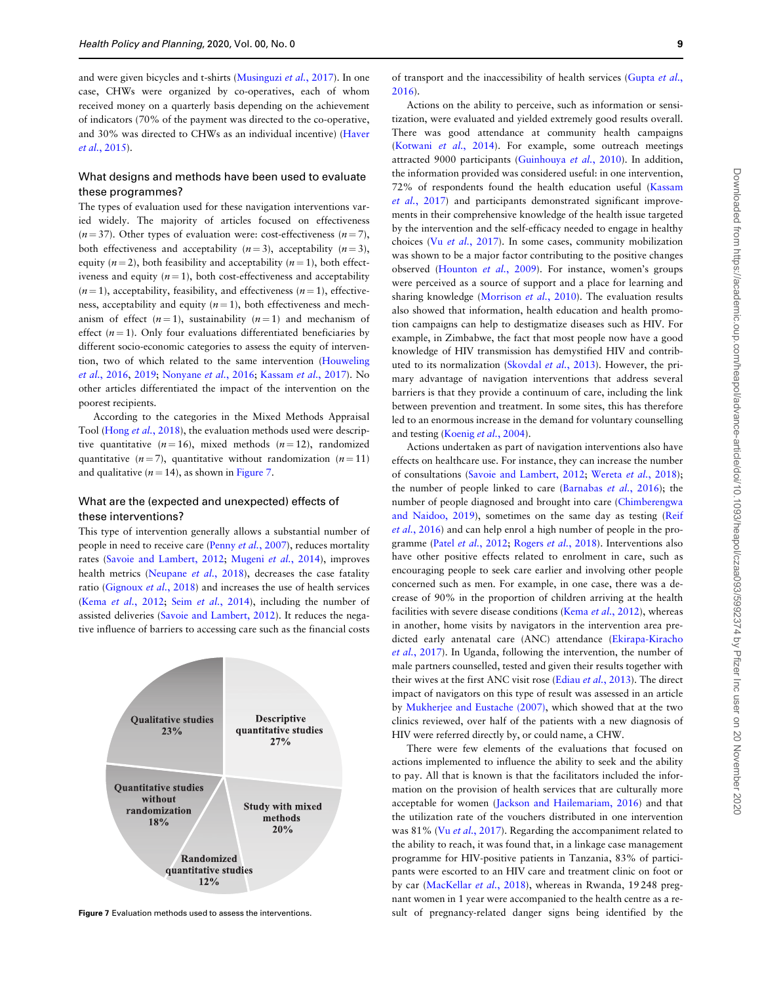and were given bicycles and t-shirts [\(Musinguzi](#page-14-0) et al., 2017). In one case, CHWs were organized by co-operatives, each of whom received money on a quarterly basis depending on the achievement of indicators (70% of the payment was directed to the co-operative, and 30% was directed to CHWs as an individual incentive) ([Haver](#page-14-0) et al.[, 2015\)](#page-14-0).

# What designs and methods have been used to evaluate these programmes?

The types of evaluation used for these navigation interventions varied widely. The majority of articles focused on effectiveness  $(n = 37)$ . Other types of evaluation were: cost-effectiveness  $(n = 7)$ , both effectiveness and acceptability  $(n=3)$ , acceptability  $(n=3)$ , equity ( $n = 2$ ), both feasibility and acceptability ( $n = 1$ ), both effectiveness and equity  $(n = 1)$ , both cost-effectiveness and acceptability  $(n = 1)$ , acceptability, feasibility, and effectiveness  $(n = 1)$ , effectiveness, acceptability and equity  $(n = 1)$ , both effectiveness and mechanism of effect  $(n = 1)$ , sustainability  $(n = 1)$  and mechanism of effect  $(n = 1)$ . Only four evaluations differentiated beneficiaries by different socio-economic categories to assess the equity of intervention, two of which related to the same intervention [\(Houweling](#page-14-0) et al.[, 2016](#page-14-0), [2019;](#page-14-0) [Nonyane](#page-14-0) et al., 2016; [Kassam](#page-14-0) et al., 2017). No other articles differentiated the impact of the intervention on the poorest recipients.

According to the categories in the Mixed Methods Appraisal Tool (Hong et al.[, 2018\)](#page-14-0), the evaluation methods used were descriptive quantitative ( $n = 16$ ), mixed methods ( $n = 12$ ), randomized quantitative ( $n = 7$ ), quantitative without randomization ( $n = 11$ ) and qualitative ( $n = 14$ ), as shown in Figure 7.

# What are the (expected and unexpected) effects of these interventions?

This type of intervention generally allows a substantial number of people in need to receive care (Penny et al.[, 2007](#page-15-0)), reduces mortality rates ([Savoie and Lambert, 2012](#page-15-0); [Mugeni](#page-14-0) et al., 2014), improves health metrics [\(Neupane](#page-14-0) et al., 2018), decreases the case fatality ratio ([Gignoux](#page-13-0) et al., 2018) and increases the use of health services (Kema et al.[, 2012;](#page-14-0) Seim et al.[, 2014\)](#page-15-0), including the number of assisted deliveries [\(Savoie and Lambert, 2012](#page-15-0)). It reduces the negative influence of barriers to accessing care such as the financial costs



of transport and the inaccessibility of health services ([Gupta](#page-14-0) et al., [2016\)](#page-14-0).

Actions on the ability to perceive, such as information or sensitization, were evaluated and yielded extremely good results overall. There was good attendance at community health campaigns ([Kotwani](#page-14-0) et al., 2014). For example, some outreach meetings attracted 9000 participants ([Guinhouya](#page-13-0) et al., 2010). In addition, the information provided was considered useful: in one intervention, 72% of respondents found the health education useful ([Kassam](#page-14-0) et al.[, 2017](#page-14-0)) and participants demonstrated significant improvements in their comprehensive knowledge of the health issue targeted by the intervention and the self-efficacy needed to engage in healthy choices (Vu et al.[, 2017\)](#page-15-0). In some cases, community mobilization was shown to be a major factor contributing to the positive changes observed ([Hounton](#page-14-0) et al., 2009). For instance, women's groups were perceived as a source of support and a place for learning and sharing knowledge ([Morrison](#page-14-0) et al., 2010). The evaluation results also showed that information, health education and health promotion campaigns can help to destigmatize diseases such as HIV. For example, in Zimbabwe, the fact that most people now have a good knowledge of HIV transmission has demystified HIV and contributed to its normalization ([Skovdal](#page-15-0) et al., 2013). However, the primary advantage of navigation interventions that address several barriers is that they provide a continuum of care, including the link between prevention and treatment. In some sites, this has therefore led to an enormous increase in the demand for voluntary counselling and testing [\(Koenig](#page-14-0) et al., 2004).

Actions undertaken as part of navigation interventions also have effects on healthcare use. For instance, they can increase the number of consultations ([Savoie and Lambert, 2012](#page-15-0); [Wereta](#page-15-0) et al., 2018); the number of people linked to care ([Barnabas](#page-13-0) et al., 2016); the number of people diagnosed and brought into care ([Chimberengwa](#page-13-0) [and Naidoo, 2019\)](#page-13-0), sometimes on the same day as testing ([Reif](#page-15-0) et al.[, 2016](#page-15-0)) and can help enrol a high number of people in the pro-gramme (Patel et al.[, 2012](#page-14-0); [Rogers](#page-15-0) et al., 2018). Interventions also have other positive effects related to enrolment in care, such as encouraging people to seek care earlier and involving other people concerned such as men. For example, in one case, there was a decrease of 90% in the proportion of children arriving at the health facilities with severe disease conditions (Kema et al.[, 2012](#page-14-0)), whereas in another, home visits by navigators in the intervention area predicted early antenatal care (ANC) attendance [\(Ekirapa-Kiracho](#page-13-0) et al.[, 2017](#page-13-0)). In Uganda, following the intervention, the number of male partners counselled, tested and given their results together with their wives at the first ANC visit rose (Ediau et al.[, 2013](#page-13-0)). The direct impact of navigators on this type of result was assessed in an article by [Mukherjee and Eustache \(2007\),](#page-14-0) which showed that at the two clinics reviewed, over half of the patients with a new diagnosis of HIV were referred directly by, or could name, a CHW.

There were few elements of the evaluations that focused on actions implemented to influence the ability to seek and the ability to pay. All that is known is that the facilitators included the information on the provision of health services that are culturally more acceptable for women ([Jackson and Hailemariam, 2016](#page-14-0)) and that the utilization rate of the vouchers distributed in one intervention was 81% (Vu et al.[, 2017\)](#page-15-0). Regarding the accompaniment related to the ability to reach, it was found that, in a linkage case management programme for HIV-positive patients in Tanzania, 83% of participants were escorted to an HIV care and treatment clinic on foot or by car ([MacKellar](#page-14-0) et al., 2018), whereas in Rwanda, 19 248 pregnant women in 1 year were accompanied to the health centre as a re-Figure 7 Evaluation methods used to assess the interventions. Sult of pregnancy-related danger signs being identified by the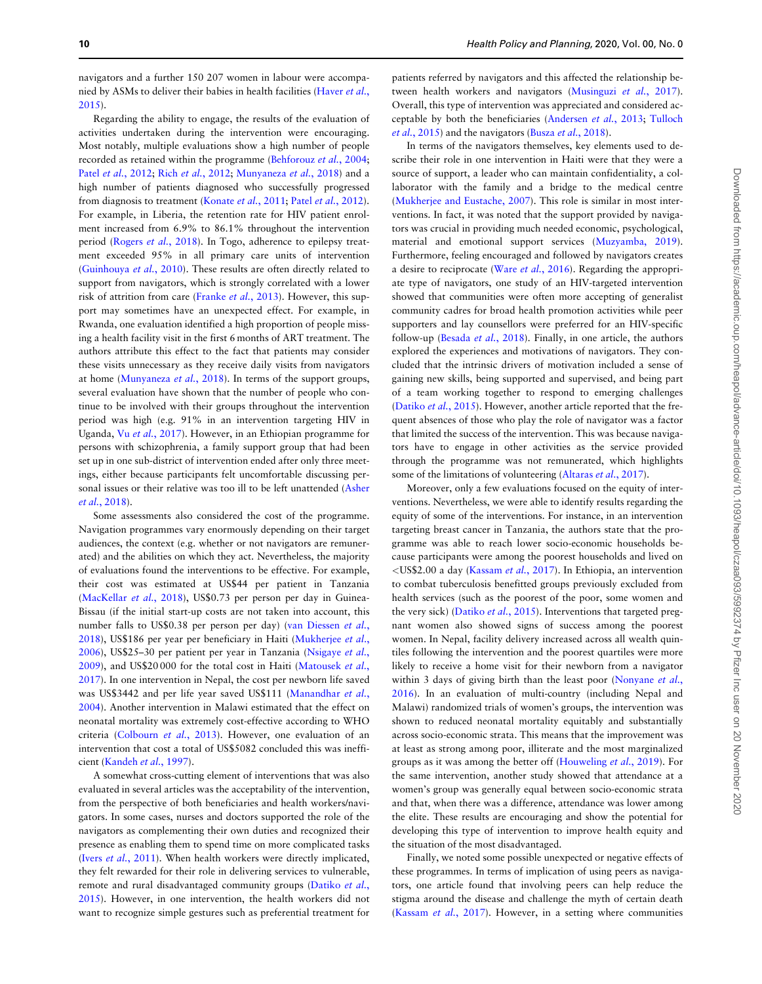navigators and a further 150 207 women in labour were accompanied by ASMs to deliver their babies in health facilities ([Haver](#page-14-0) et al., [2015\)](#page-14-0).

Regarding the ability to engage, the results of the evaluation of activities undertaken during the intervention were encouraging. Most notably, multiple evaluations show a high number of people recorded as retained within the programme ([Behforouz](#page-13-0) et al., 2004; Patel et al.[, 2012](#page-14-0); Rich et al.[, 2012](#page-15-0); [Munyaneza](#page-14-0) et al., 2018) and a high number of patients diagnosed who successfully progressed from diagnosis to treatment ([Konate](#page-14-0) et al., 2011; Patel et al.[, 2012](#page-14-0)). For example, in Liberia, the retention rate for HIV patient enrolment increased from 6.9% to 86.1% throughout the intervention period ([Rogers](#page-15-0) et al., 2018). In Togo, adherence to epilepsy treatment exceeded 95% in all primary care units of intervention ([Guinhouya](#page-13-0) et al., 2010). These results are often directly related to support from navigators, which is strongly correlated with a lower risk of attrition from care ([Franke](#page-13-0) et al., 2013). However, this support may sometimes have an unexpected effect. For example, in Rwanda, one evaluation identified a high proportion of people missing a health facility visit in the first 6 months of ART treatment. The authors attribute this effect to the fact that patients may consider these visits unnecessary as they receive daily visits from navigators at home ([Munyaneza](#page-14-0) et al., 2018). In terms of the support groups, several evaluation have shown that the number of people who continue to be involved with their groups throughout the intervention period was high (e.g. 91% in an intervention targeting HIV in Uganda, Vu et al.[, 2017\)](#page-15-0). However, in an Ethiopian programme for persons with schizophrenia, a family support group that had been set up in one sub-district of intervention ended after only three meetings, either because participants felt uncomfortable discussing personal issues or their relative was too ill to be left unattended [\(Asher](#page-13-0) et al.[, 2018\)](#page-13-0).

Some assessments also considered the cost of the programme. Navigation programmes vary enormously depending on their target audiences, the context (e.g. whether or not navigators are remunerated) and the abilities on which they act. Nevertheless, the majority of evaluations found the interventions to be effective. For example, their cost was estimated at US\$44 per patient in Tanzania ([MacKellar](#page-14-0) et al., 2018), US\$0.73 per person per day in Guinea-Bissau (if the initial start-up costs are not taken into account, this number falls to US\$0.38 per person per day) [\(van Diessen](#page-13-0) et al., [2018\)](#page-13-0), US\$186 per year per beneficiary in Haiti [\(Mukherjee](#page-14-0) et al., [2006\)](#page-14-0), US\$25–30 per patient per year in Tanzania ([Nsigaye](#page-14-0) et al., [2009\)](#page-14-0), and US\$20 000 for the total cost in Haiti ([Matousek](#page-14-0) et al., [2017\)](#page-14-0). In one intervention in Nepal, the cost per newborn life saved was US\$3442 and per life year saved US\$111 ([Manandhar](#page-14-0) et al., [2004\)](#page-14-0). Another intervention in Malawi estimated that the effect on neonatal mortality was extremely cost-effective according to WHO criteria [\(Colbourn](#page-13-0) et al., 2013). However, one evaluation of an intervention that cost a total of US\$5082 concluded this was inefficient [\(Kandeh](#page-14-0) et al., 1997).

A somewhat cross-cutting element of interventions that was also evaluated in several articles was the acceptability of the intervention, from the perspective of both beneficiaries and health workers/navigators. In some cases, nurses and doctors supported the role of the navigators as complementing their own duties and recognized their presence as enabling them to spend time on more complicated tasks (Ivers et al.[, 2011](#page-14-0)). When health workers were directly implicated, they felt rewarded for their role in delivering services to vulnerable, remote and rural disadvantaged community groups ([Datiko](#page-13-0) et al., [2015\)](#page-13-0). However, in one intervention, the health workers did not want to recognize simple gestures such as preferential treatment for

patients referred by navigators and this affected the relationship between health workers and navigators [\(Musinguzi](#page-14-0) et al., 2017). Overall, this type of intervention was appreciated and considered acceptable by both the beneficiaries [\(Andersen](#page-13-0) et al., 2013; [Tulloch](#page-15-0) et al.[, 2015\)](#page-15-0) and the navigators (Busza et al.[, 2018\)](#page-13-0).

In terms of the navigators themselves, key elements used to describe their role in one intervention in Haiti were that they were a source of support, a leader who can maintain confidentiality, a collaborator with the family and a bridge to the medical centre ([Mukherjee and Eustache, 2007](#page-14-0)). This role is similar in most interventions. In fact, it was noted that the support provided by navigators was crucial in providing much needed economic, psychological, material and emotional support services ([Muzyamba, 2019](#page-14-0)). Furthermore, feeling encouraged and followed by navigators creates a desire to reciprocate (Ware *et al.*[, 2016\)](#page-15-0). Regarding the appropriate type of navigators, one study of an HIV-targeted intervention showed that communities were often more accepting of generalist community cadres for broad health promotion activities while peer supporters and lay counsellors were preferred for an HIV-specific follow-up [\(Besada](#page-13-0) et al., 2018). Finally, in one article, the authors explored the experiences and motivations of navigators. They concluded that the intrinsic drivers of motivation included a sense of gaining new skills, being supported and supervised, and being part of a team working together to respond to emerging challenges ([Datiko](#page-13-0) et al., 2015). However, another article reported that the frequent absences of those who play the role of navigator was a factor that limited the success of the intervention. This was because navigators have to engage in other activities as the service provided through the programme was not remunerated, which highlights some of the limitations of volunteering [\(Altaras](#page-13-0) et al., 2017).

Moreover, only a few evaluations focused on the equity of interventions. Nevertheless, we were able to identify results regarding the equity of some of the interventions. For instance, in an intervention targeting breast cancer in Tanzania, the authors state that the programme was able to reach lower socio-economic households because participants were among the poorest households and lived on <US\$2.00 a day [\(Kassam](#page-14-0) et al., 2017). In Ethiopia, an intervention to combat tuberculosis benefitted groups previously excluded from health services (such as the poorest of the poor, some women and the very sick) ([Datiko](#page-13-0) et al., 2015). Interventions that targeted pregnant women also showed signs of success among the poorest women. In Nepal, facility delivery increased across all wealth quintiles following the intervention and the poorest quartiles were more likely to receive a home visit for their newborn from a navigator within 3 days of giving birth than the least poor [\(Nonyane](#page-14-0) et al., [2016\)](#page-14-0). In an evaluation of multi-country (including Nepal and Malawi) randomized trials of women's groups, the intervention was shown to reduced neonatal mortality equitably and substantially across socio-economic strata. This means that the improvement was at least as strong among poor, illiterate and the most marginalized groups as it was among the better off ([Houweling](#page-14-0) et al., 2019). For the same intervention, another study showed that attendance at a women's group was generally equal between socio-economic strata and that, when there was a difference, attendance was lower among the elite. These results are encouraging and show the potential for developing this type of intervention to improve health equity and the situation of the most disadvantaged.

Finally, we noted some possible unexpected or negative effects of these programmes. In terms of implication of using peers as navigators, one article found that involving peers can help reduce the stigma around the disease and challenge the myth of certain death ([Kassam](#page-14-0) et al., 2017). However, in a setting where communities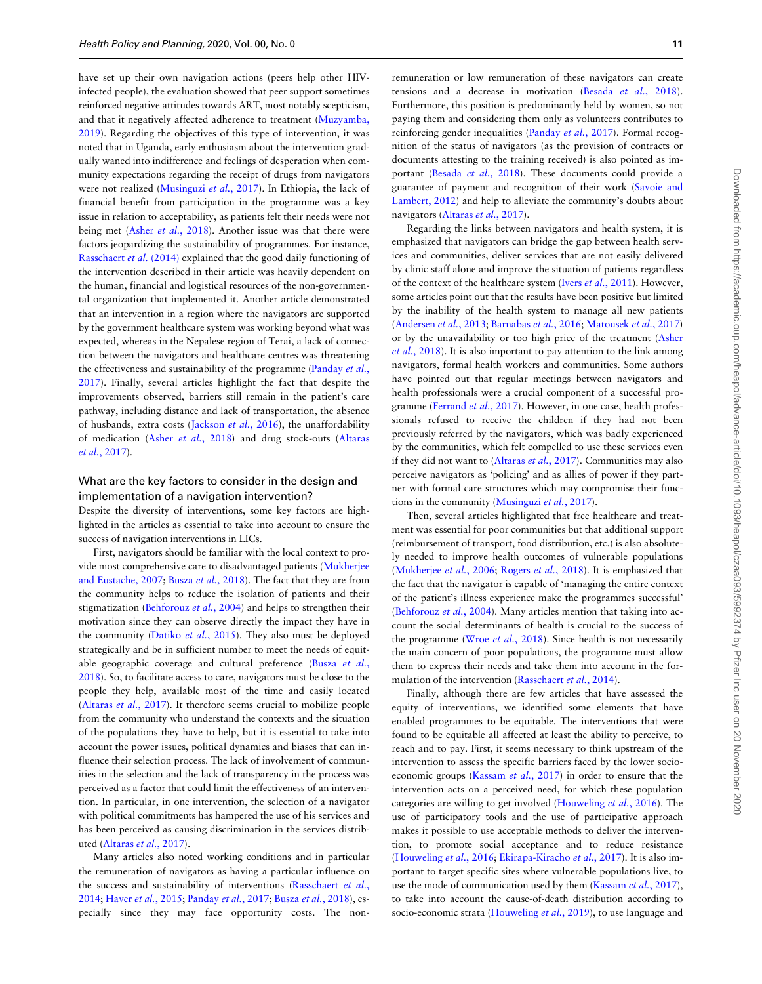have set up their own navigation actions (peers help other HIVinfected people), the evaluation showed that peer support sometimes reinforced negative attitudes towards ART, most notably scepticism, and that it negatively affected adherence to treatment ([Muzyamba,](#page-14-0) [2019\)](#page-14-0). Regarding the objectives of this type of intervention, it was noted that in Uganda, early enthusiasm about the intervention gradually waned into indifference and feelings of desperation when community expectations regarding the receipt of drugs from navigators were not realized ([Musinguzi](#page-14-0) et al., 2017). In Ethiopia, the lack of financial benefit from participation in the programme was a key issue in relation to acceptability, as patients felt their needs were not being met (Asher et al.[, 2018\)](#page-13-0). Another issue was that there were factors jeopardizing the sustainability of programmes. For instance, [Rasschaert](#page-15-0) et al. (2014) explained that the good daily functioning of the intervention described in their article was heavily dependent on the human, financial and logistical resources of the non-governmental organization that implemented it. Another article demonstrated that an intervention in a region where the navigators are supported by the government healthcare system was working beyond what was expected, whereas in the Nepalese region of Terai, a lack of connection between the navigators and healthcare centres was threatening the effectiveness and sustainability of the programme ([Panday](#page-14-0) et al., [2017\)](#page-14-0). Finally, several articles highlight the fact that despite the improvements observed, barriers still remain in the patient's care pathway, including distance and lack of transportation, the absence of husbands, extra costs ([Jackson](#page-14-0) et al., 2016), the unaffordability of medication (Asher et al.[, 2018](#page-13-0)) and drug stock-outs [\(Altaras](#page-13-0) et al.[, 2017\)](#page-13-0).

# What are the key factors to consider in the design and implementation of a navigation intervention?

Despite the diversity of interventions, some key factors are highlighted in the articles as essential to take into account to ensure the success of navigation interventions in LICs.

First, navigators should be familiar with the local context to provide most comprehensive care to disadvantaged patients ([Mukherjee](#page-14-0) [and Eustache, 2007;](#page-14-0) Busza et al.[, 2018\)](#page-13-0). The fact that they are from the community helps to reduce the isolation of patients and their stigmatization ([Behforouz](#page-13-0) et al., 2004) and helps to strengthen their motivation since they can observe directly the impact they have in the community ([Datiko](#page-13-0) et al., 2015). They also must be deployed strategically and be in sufficient number to meet the needs of equit-able geographic coverage and cultural preference ([Busza](#page-13-0) et al., [2018\)](#page-13-0). So, to facilitate access to care, navigators must be close to the people they help, available most of the time and easily located ([Altaras](#page-13-0) et al., 2017). It therefore seems crucial to mobilize people from the community who understand the contexts and the situation of the populations they have to help, but it is essential to take into account the power issues, political dynamics and biases that can influence their selection process. The lack of involvement of communities in the selection and the lack of transparency in the process was perceived as a factor that could limit the effectiveness of an intervention. In particular, in one intervention, the selection of a navigator with political commitments has hampered the use of his services and has been perceived as causing discrimination in the services distributed ([Altaras](#page-13-0) et al., 2017).

Many articles also noted working conditions and in particular the remuneration of navigators as having a particular influence on the success and sustainability of interventions [\(Rasschaert](#page-15-0) et al., [2014;](#page-15-0) Haver et al.[, 2015;](#page-14-0) [Panday](#page-14-0) et al., 2017; Busza et al.[, 2018\)](#page-13-0), especially since they may face opportunity costs. The non-

remuneration or low remuneration of these navigators can create tensions and a decrease in motivation (Besada et al.[, 2018](#page-13-0)). Furthermore, this position is predominantly held by women, so not paying them and considering them only as volunteers contributes to reinforcing gender inequalities [\(Panday](#page-14-0) et al., 2017). Formal recognition of the status of navigators (as the provision of contracts or documents attesting to the training received) is also pointed as important [\(Besada](#page-13-0) et al., 2018). These documents could provide a guarantee of payment and recognition of their work [\(Savoie and](#page-15-0) [Lambert, 2012\)](#page-15-0) and help to alleviate the community's doubts about navigators ([Altaras](#page-13-0) et al., 2017).

Regarding the links between navigators and health system, it is emphasized that navigators can bridge the gap between health services and communities, deliver services that are not easily delivered by clinic staff alone and improve the situation of patients regardless of the context of the healthcare system (Ivers et al.[, 2011](#page-14-0)). However, some articles point out that the results have been positive but limited by the inability of the health system to manage all new patients ([Andersen](#page-13-0) et al., 2013; [Barnabas](#page-13-0) et al., 2016; [Matousek](#page-14-0) et al., 2017) or by the unavailability or too high price of the treatment [\(Asher](#page-13-0) et al.[, 2018](#page-13-0)). It is also important to pay attention to the link among navigators, formal health workers and communities. Some authors have pointed out that regular meetings between navigators and health professionals were a crucial component of a successful programme ([Ferrand](#page-13-0) et al., 2017). However, in one case, health professionals refused to receive the children if they had not been previously referred by the navigators, which was badly experienced by the communities, which felt compelled to use these services even if they did not want to [\(Altaras](#page-13-0) et al., 2017). Communities may also perceive navigators as 'policing' and as allies of power if they partner with formal care structures which may compromise their functions in the community ([Musinguzi](#page-14-0) et al., 2017).

Then, several articles highlighted that free healthcare and treatment was essential for poor communities but that additional support (reimbursement of transport, food distribution, etc.) is also absolutely needed to improve health outcomes of vulnerable populations ([Mukherjee](#page-14-0) et al., 2006; [Rogers](#page-15-0) et al., 2018). It is emphasized that the fact that the navigator is capable of 'managing the entire context of the patient's illness experience make the programmes successful' ([Behforouz](#page-13-0) et al., 2004). Many articles mention that taking into account the social determinants of health is crucial to the success of the programme (Wroe et al.[, 2018\)](#page-15-0). Since health is not necessarily the main concern of poor populations, the programme must allow them to express their needs and take them into account in the for-mulation of the intervention [\(Rasschaert](#page-15-0) et al., 2014).

Finally, although there are few articles that have assessed the equity of interventions, we identified some elements that have enabled programmes to be equitable. The interventions that were found to be equitable all affected at least the ability to perceive, to reach and to pay. First, it seems necessary to think upstream of the intervention to assess the specific barriers faced by the lower socio-economic groups ([Kassam](#page-14-0) *et al.*, 2017) in order to ensure that the intervention acts on a perceived need, for which these population categories are willing to get involved [\(Houweling](#page-14-0) et al., 2016). The use of participatory tools and the use of participative approach makes it possible to use acceptable methods to deliver the intervention, to promote social acceptance and to reduce resistance ([Houweling](#page-14-0) et al., 2016; [Ekirapa-Kiracho](#page-13-0) et al., 2017). It is also important to target specific sites where vulnerable populations live, to use the mode of communication used by them ([Kassam](#page-14-0) et al., 2017), to take into account the cause-of-death distribution according to socio-economic strata ([Houweling](#page-14-0) et al., 2019), to use language and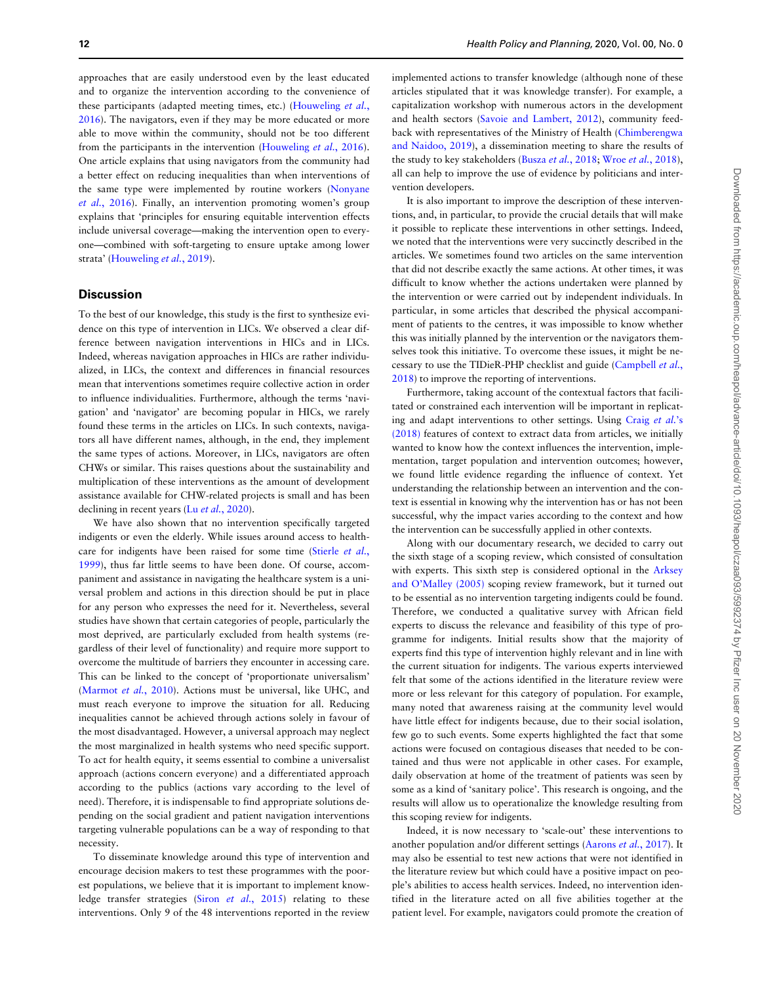approaches that are easily understood even by the least educated and to organize the intervention according to the convenience of these participants (adapted meeting times, etc.) ([Houweling](#page-14-0) et al., [2016\)](#page-14-0). The navigators, even if they may be more educated or more able to move within the community, should not be too different from the participants in the intervention ([Houweling](#page-14-0) et al., 2016). One article explains that using navigators from the community had a better effect on reducing inequalities than when interventions of the same type were implemented by routine workers ([Nonyane](#page-14-0) et al.[, 2016\)](#page-14-0). Finally, an intervention promoting women's group explains that 'principles for ensuring equitable intervention effects include universal coverage—making the intervention open to everyone—combined with soft-targeting to ensure uptake among lower strata' [\(Houweling](#page-14-0) et al., 2019).

# **Discussion**

To the best of our knowledge, this study is the first to synthesize evidence on this type of intervention in LICs. We observed a clear difference between navigation interventions in HICs and in LICs. Indeed, whereas navigation approaches in HICs are rather individualized, in LICs, the context and differences in financial resources mean that interventions sometimes require collective action in order to influence individualities. Furthermore, although the terms 'navigation' and 'navigator' are becoming popular in HICs, we rarely found these terms in the articles on LICs. In such contexts, navigators all have different names, although, in the end, they implement the same types of actions. Moreover, in LICs, navigators are often CHWs or similar. This raises questions about the sustainability and multiplication of these interventions as the amount of development assistance available for CHW-related projects is small and has been declining in recent years (Lu et al.[, 2020\)](#page-14-0).

We have also shown that no intervention specifically targeted indigents or even the elderly. While issues around access to health-care for indigents have been raised for some time [\(Stierle](#page-15-0) et al., [1999\)](#page-15-0), thus far little seems to have been done. Of course, accompaniment and assistance in navigating the healthcare system is a universal problem and actions in this direction should be put in place for any person who expresses the need for it. Nevertheless, several studies have shown that certain categories of people, particularly the most deprived, are particularly excluded from health systems (regardless of their level of functionality) and require more support to overcome the multitude of barriers they encounter in accessing care. This can be linked to the concept of 'proportionate universalism' ([Marmot](#page-14-0) et al., 2010). Actions must be universal, like UHC, and must reach everyone to improve the situation for all. Reducing inequalities cannot be achieved through actions solely in favour of the most disadvantaged. However, a universal approach may neglect the most marginalized in health systems who need specific support. To act for health equity, it seems essential to combine a universalist approach (actions concern everyone) and a differentiated approach according to the publics (actions vary according to the level of need). Therefore, it is indispensable to find appropriate solutions depending on the social gradient and patient navigation interventions targeting vulnerable populations can be a way of responding to that necessity.

To disseminate knowledge around this type of intervention and encourage decision makers to test these programmes with the poorest populations, we believe that it is important to implement know-ledge transfer strategies (Siron et al.[, 2015\)](#page-15-0) relating to these interventions. Only 9 of the 48 interventions reported in the review

implemented actions to transfer knowledge (although none of these articles stipulated that it was knowledge transfer). For example, a capitalization workshop with numerous actors in the development and health sectors [\(Savoie and Lambert, 2012](#page-15-0)), community feedback with representatives of the Ministry of Health ([Chimberengwa](#page-13-0) [and Naidoo, 2019](#page-13-0)), a dissemination meeting to share the results of the study to key stakeholders (Busza et al.[, 2018](#page-15-0); Wroe et al., 2018), all can help to improve the use of evidence by politicians and intervention developers.

It is also important to improve the description of these interventions, and, in particular, to provide the crucial details that will make it possible to replicate these interventions in other settings. Indeed, we noted that the interventions were very succinctly described in the articles. We sometimes found two articles on the same intervention that did not describe exactly the same actions. At other times, it was difficult to know whether the actions undertaken were planned by the intervention or were carried out by independent individuals. In particular, in some articles that described the physical accompaniment of patients to the centres, it was impossible to know whether this was initially planned by the intervention or the navigators themselves took this initiative. To overcome these issues, it might be necessary to use the TIDieR-PHP checklist and guide [\(Campbell](#page-13-0) et al., [2018\)](#page-13-0) to improve the reporting of interventions.

Furthermore, taking account of the contextual factors that facilitated or constrained each intervention will be important in replicating and adapt interventions to other settings. Using [Craig](#page-13-0) et al.'s [\(2018\)](#page-13-0) features of context to extract data from articles, we initially wanted to know how the context influences the intervention, implementation, target population and intervention outcomes; however, we found little evidence regarding the influence of context. Yet understanding the relationship between an intervention and the context is essential in knowing why the intervention has or has not been successful, why the impact varies according to the context and how the intervention can be successfully applied in other contexts.

Along with our documentary research, we decided to carry out the sixth stage of a scoping review, which consisted of consultation with experts. This sixth step is considered optional in the [Arksey](#page-13-0) [and O'Malley \(2005\)](#page-13-0) scoping review framework, but it turned out to be essential as no intervention targeting indigents could be found. Therefore, we conducted a qualitative survey with African field experts to discuss the relevance and feasibility of this type of programme for indigents. Initial results show that the majority of experts find this type of intervention highly relevant and in line with the current situation for indigents. The various experts interviewed felt that some of the actions identified in the literature review were more or less relevant for this category of population. For example, many noted that awareness raising at the community level would have little effect for indigents because, due to their social isolation, few go to such events. Some experts highlighted the fact that some actions were focused on contagious diseases that needed to be contained and thus were not applicable in other cases. For example, daily observation at home of the treatment of patients was seen by some as a kind of 'sanitary police'. This research is ongoing, and the results will allow us to operationalize the knowledge resulting from this scoping review for indigents.

Indeed, it is now necessary to 'scale-out' these interventions to another population and/or different settings ([Aarons](#page-13-0) et al., 2017). It may also be essential to test new actions that were not identified in the literature review but which could have a positive impact on people's abilities to access health services. Indeed, no intervention identified in the literature acted on all five abilities together at the patient level. For example, navigators could promote the creation of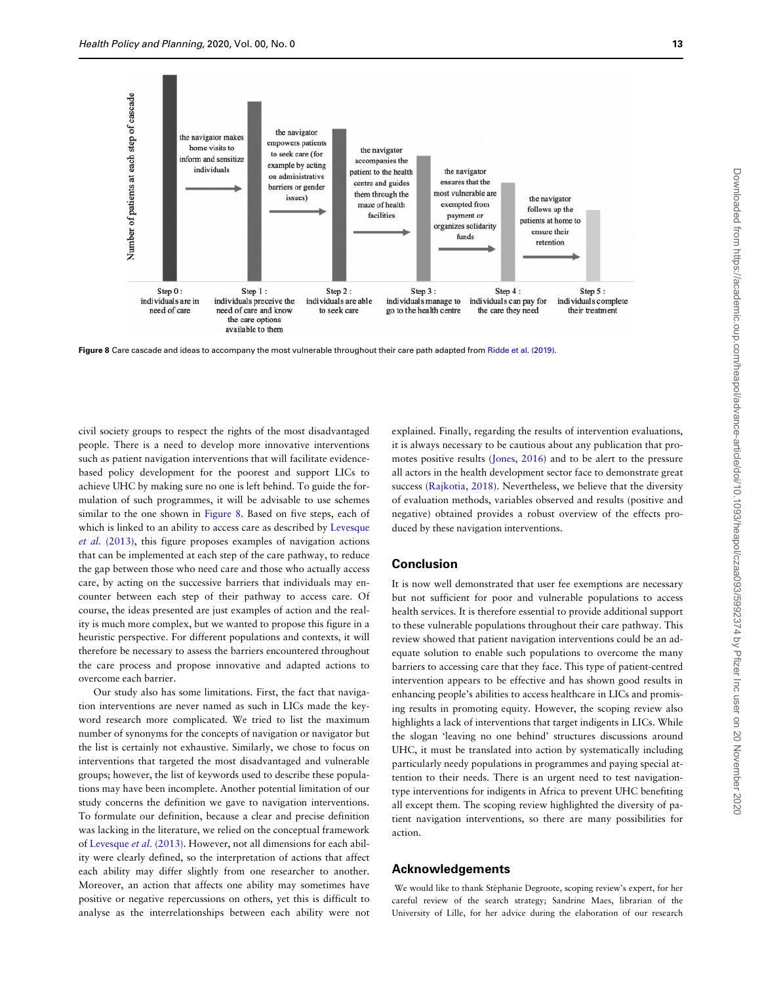

Figure 8 Care cascade and ideas to accompany the most vulnerable throughout their care path adapted from [Ridde et al. \(2019\).](#page-15-0)

civil society groups to respect the rights of the most disadvantaged people. There is a need to develop more innovative interventions such as patient navigation interventions that will facilitate evidencebased policy development for the poorest and support LICs to achieve UHC by making sure no one is left behind. To guide the formulation of such programmes, it will be advisable to use schemes similar to the one shown in Figure 8. Based on five steps, each of which is linked to an ability to access care as described by [Levesque](#page-14-0) et al. [\(2013\),](#page-14-0) this figure proposes examples of navigation actions that can be implemented at each step of the care pathway, to reduce the gap between those who need care and those who actually access care, by acting on the successive barriers that individuals may encounter between each step of their pathway to access care. Of course, the ideas presented are just examples of action and the reality is much more complex, but we wanted to propose this figure in a heuristic perspective. For different populations and contexts, it will therefore be necessary to assess the barriers encountered throughout the care process and propose innovative and adapted actions to overcome each barrier.

Our study also has some limitations. First, the fact that navigation interventions are never named as such in LICs made the keyword research more complicated. We tried to list the maximum number of synonyms for the concepts of navigation or navigator but the list is certainly not exhaustive. Similarly, we chose to focus on interventions that targeted the most disadvantaged and vulnerable groups; however, the list of keywords used to describe these populations may have been incomplete. Another potential limitation of our study concerns the definition we gave to navigation interventions. To formulate our definition, because a clear and precise definition was lacking in the literature, we relied on the conceptual framework of [Levesque](#page-14-0) et al. (2013). However, not all dimensions for each ability were clearly defined, so the interpretation of actions that affect each ability may differ slightly from one researcher to another. Moreover, an action that affects one ability may sometimes have positive or negative repercussions on others, yet this is difficult to analyse as the interrelationships between each ability were not

explained. Finally, regarding the results of intervention evaluations, it is always necessary to be cautious about any publication that promotes positive results ([Jones, 2016\)](#page-14-0) and to be alert to the pressure all actors in the health development sector face to demonstrate great success ([Rajkotia, 2018\)](#page-15-0). Nevertheless, we believe that the diversity of evaluation methods, variables observed and results (positive and negative) obtained provides a robust overview of the effects produced by these navigation interventions.

# Conclusion

It is now well demonstrated that user fee exemptions are necessary but not sufficient for poor and vulnerable populations to access health services. It is therefore essential to provide additional support to these vulnerable populations throughout their care pathway. This review showed that patient navigation interventions could be an adequate solution to enable such populations to overcome the many barriers to accessing care that they face. This type of patient-centred intervention appears to be effective and has shown good results in enhancing people's abilities to access healthcare in LICs and promising results in promoting equity. However, the scoping review also highlights a lack of interventions that target indigents in LICs. While the slogan 'leaving no one behind' structures discussions around UHC, it must be translated into action by systematically including particularly needy populations in programmes and paying special attention to their needs. There is an urgent need to test navigationtype interventions for indigents in Africa to prevent UHC benefiting all except them. The scoping review highlighted the diversity of patient navigation interventions, so there are many possibilities for action.

# Acknowledgements

We would like to thank Stéphanie Degroote, scoping review's expert, for her careful review of the search strategy; Sandrine Maes, librarian of the University of Lille, for her advice during the elaboration of our research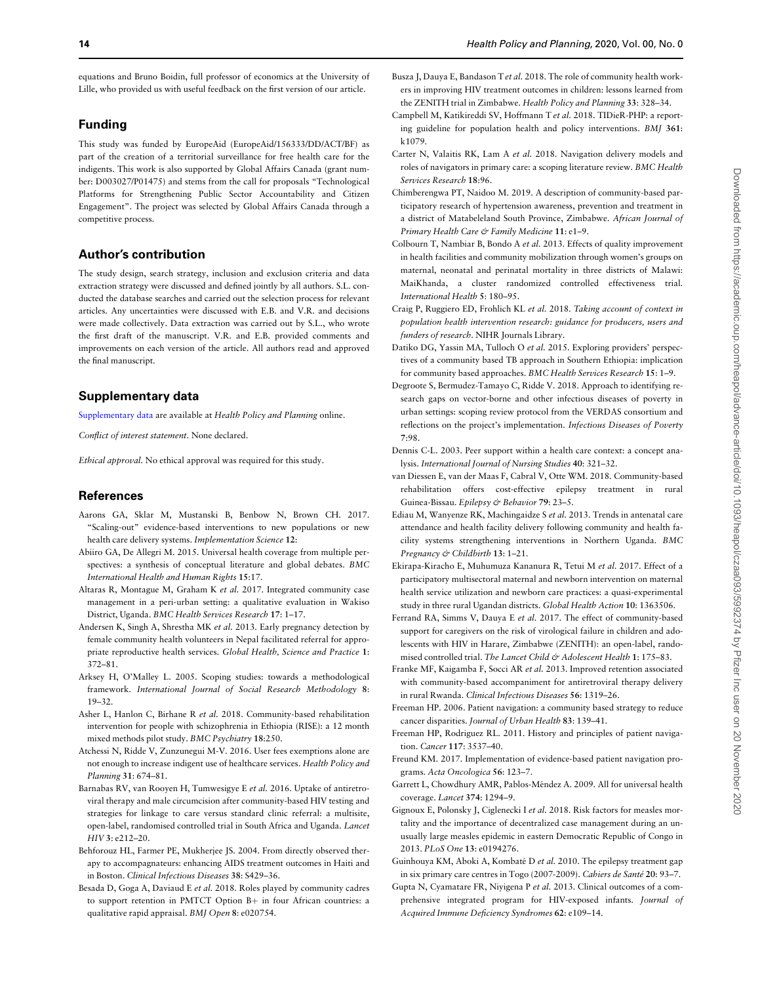<span id="page-13-0"></span>equations and Bruno Boidin, full professor of economics at the University of Lille, who provided us with useful feedback on the first version of our article.

# Funding

This study was funded by EuropeAid (EuropeAid/156333/DD/ACT/BF) as part of the creation of a territorial surveillance for free health care for the indigents. This work is also supported by Global Affairs Canada (grant number: D003027/P01475) and stems from the call for proposals "Technological Platforms for Strengthening Public Sector Accountability and Citizen Engagement". The project was selected by Global Affairs Canada through a competitive process.

# Author's contribution

The study design, search strategy, inclusion and exclusion criteria and data extraction strategy were discussed and defined jointly by all authors. S.L. conducted the database searches and carried out the selection process for relevant articles. Any uncertainties were discussed with E.B. and V.R. and decisions were made collectively. Data extraction was carried out by S.L., who wrote the first draft of the manuscript. V.R. and E.B. provided comments and improvements on each version of the article. All authors read and approved the final manuscript.

# Supplementary data

[Supplementary data](https://academic.oup.com/heapol/article-lookup/doi/10.1093/heapol/czaa093#supplementary-data) are available at Health Policy and Planning online.

Conflict of interest statement. None declared.

Ethical approval. No ethical approval was required for this study.

# **References**

- Aarons GA, Sklar M, Mustanski B, Benbow N, Brown CH. 2017. "Scaling-out" evidence-based interventions to new populations or new health care delivery systems. Implementation Science 12:
- Abiiro GA, De Allegri M. 2015. Universal health coverage from multiple perspectives: a synthesis of conceptual literature and global debates. BMC International Health and Human Rights 15:17.
- Altaras R, Montague M, Graham K et al. 2017. Integrated community case management in a peri-urban setting: a qualitative evaluation in Wakiso District, Uganda. BMC Health Services Research 17: 1–17.
- Andersen K, Singh A, Shrestha MK et al. 2013. Early pregnancy detection by female community health volunteers in Nepal facilitated referral for appropriate reproductive health services. Global Health, Science and Practice 1: 372–81.
- Arksey H, O'Malley L. 2005. Scoping studies: towards a methodological framework. International Journal of Social Research Methodology 8: 19–32.
- Asher L, Hanlon C, Birhane R et al. 2018. Community-based rehabilitation intervention for people with schizophrenia in Ethiopia (RISE): a 12 month mixed methods pilot study. BMC Psychiatry 18:250.
- Atchessi N, Ridde V, Zunzunegui M-V. 2016. User fees exemptions alone are not enough to increase indigent use of healthcare services. Health Policy and Planning 31: 674–81.
- Barnabas RV, van Rooyen H, Tumwesigye E et al. 2016. Uptake of antiretroviral therapy and male circumcision after community-based HIV testing and strategies for linkage to care versus standard clinic referral: a multisite, open-label, randomised controlled trial in South Africa and Uganda. Lancet HIV 3: e212–20.
- Behforouz HL, Farmer PE, Mukherjee JS. 2004. From directly observed therapy to accompagnateurs: enhancing AIDS treatment outcomes in Haiti and in Boston. Clinical Infectious Diseases 38: S429–36.
- Besada D, Goga A, Daviaud E et al. 2018. Roles played by community cadres to support retention in PMTCT Option B+ in four African countries: a qualitative rapid appraisal. BMJ Open 8: e020754.
- Busza J, Dauya E, Bandason T et al. 2018. The role of community health workers in improving HIV treatment outcomes in children: lessons learned from the ZENITH trial in Zimbabwe. Health Policy and Planning 33: 328–34.
- Campbell M, Katikireddi SV, Hoffmann T et al. 2018. TIDieR-PHP: a reporting guideline for population health and policy interventions. BMJ 361: k1079.
- Carter N, Valaitis RK, Lam A et al. 2018. Navigation delivery models and roles of navigators in primary care: a scoping literature review. BMC Health Services Research 18:96.
- Chimberengwa PT, Naidoo M. 2019. A description of community-based participatory research of hypertension awareness, prevention and treatment in a district of Matabeleland South Province, Zimbabwe. African Journal of Primary Health Care & Family Medicine 11: e1-9.
- Colbourn T, Nambiar B, Bondo A et al. 2013. Effects of quality improvement in health facilities and community mobilization through women's groups on maternal, neonatal and perinatal mortality in three districts of Malawi: MaiKhanda, a cluster randomized controlled effectiveness trial. International Health 5: 180–95.
- Craig P, Ruggiero ED, Frohlich KL et al. 2018. Taking account of context in population health intervention research: guidance for producers, users and funders of research. NIHR Journals Library.
- Datiko DG, Yassin MA, Tulloch O et al. 2015. Exploring providers' perspectives of a community based TB approach in Southern Ethiopia: implication for community based approaches. BMC Health Services Research 15: 1–9.
- Degroote S, Bermudez-Tamayo C, Ridde V. 2018. Approach to identifying research gaps on vector-borne and other infectious diseases of poverty in urban settings: scoping review protocol from the VERDAS consortium and reflections on the project's implementation. Infectious Diseases of Poverty 7:98.
- Dennis C-L. 2003. Peer support within a health care context: a concept analysis. International Journal of Nursing Studies 40: 321–32.
- van Diessen E, van der Maas F, Cabral V, Otte WM. 2018. Community-based rehabilitation offers cost-effective epilepsy treatment in rural Guinea-Bissau. Epilepsy & Behavior 79: 23–5.
- Ediau M, Wanyenze RK, Machingaidze S et al. 2013. Trends in antenatal care attendance and health facility delivery following community and health facility systems strengthening interventions in Northern Uganda. BMC Pregnancy & Childbirth 13: 1-21.
- Ekirapa-Kiracho E, Muhumuza Kananura R, Tetui M et al. 2017. Effect of a participatory multisectoral maternal and newborn intervention on maternal health service utilization and newborn care practices: a quasi-experimental study in three rural Ugandan districts. Global Health Action 10: 1363506.
- Ferrand RA, Simms V, Dauya E et al. 2017. The effect of community-based support for caregivers on the risk of virological failure in children and adolescents with HIV in Harare, Zimbabwe (ZENITH): an open-label, randomised controlled trial. The Lancet Child & Adolescent Health 1: 175-83.
- Franke MF, Kaigamba F, Socci AR et al. 2013. Improved retention associated with community-based accompaniment for antiretroviral therapy delivery in rural Rwanda. Clinical Infectious Diseases 56: 1319–26.
- Freeman HP. 2006. Patient navigation: a community based strategy to reduce cancer disparities. Journal of Urban Health 83: 139–41.
- Freeman HP, Rodriguez RL. 2011. History and principles of patient navigation. Cancer 117: 3537–40.
- Freund KM. 2017. Implementation of evidence-based patient navigation programs. Acta Oncologica 56: 123–7.
- Garrett L, Chowdhury AMR, Pablos-Méndez A. 2009. All for universal health coverage. Lancet 374: 1294–9.
- Gignoux E, Polonsky J, Ciglenecki I et al. 2018. Risk factors for measles mortality and the importance of decentralized case management during an unusually large measles epidemic in eastern Democratic Republic of Congo in 2013. PLoS One 13: e0194276.
- Guinhouya KM, Aboki A, Kombaté D et al. 2010. The epilepsy treatment gap in six primary care centres in Togo (2007-2009). Cahiers de Santé 20: 93-7.
- Gupta N, Cyamatare FR, Niyigena P et al. 2013. Clinical outcomes of a comprehensive integrated program for HIV-exposed infants. Journal of Acquired Immune Deficiency Syndromes 62: e109–14.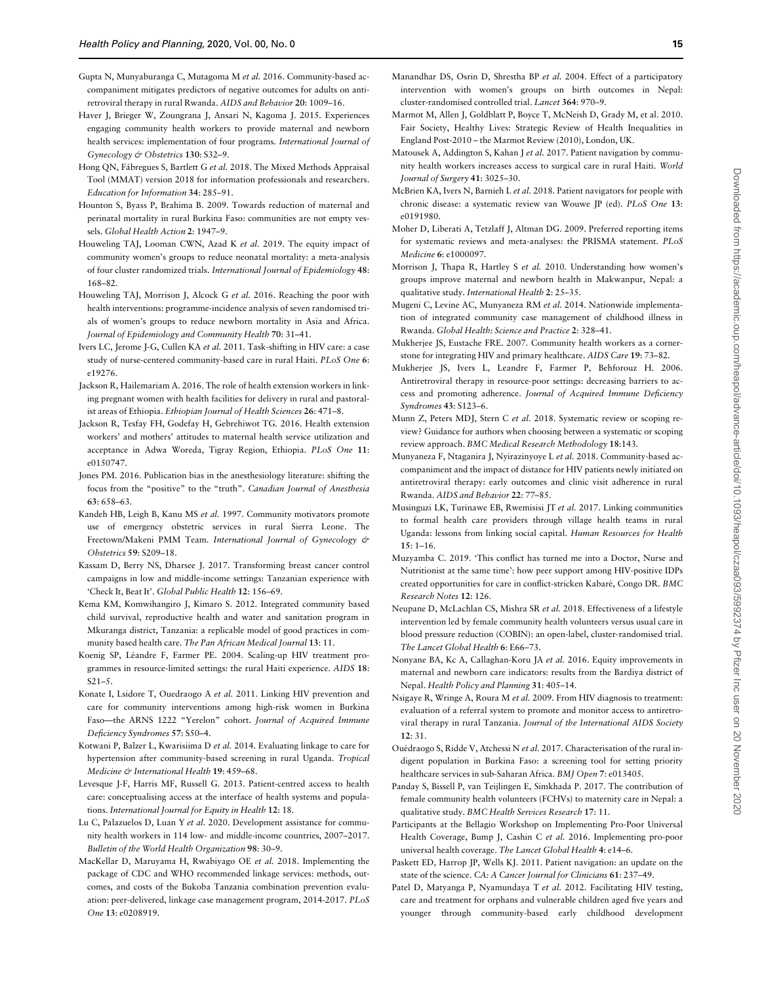- <span id="page-14-0"></span>Gupta N, Munyaburanga C, Mutagoma M et al. 2016. Community-based accompaniment mitigates predictors of negative outcomes for adults on antiretroviral therapy in rural Rwanda. AIDS and Behavior 20: 1009–16.
- Haver J, Brieger W, Zoungrana J, Ansari N, Kagoma J. 2015. Experiences engaging community health workers to provide maternal and newborn health services: implementation of four programs. International Journal of Gynecology & Obstetrics 130: S32–9.
- Hong QN, Fàbregues S, Bartlett G et al. 2018. The Mixed Methods Appraisal Tool (MMAT) version 2018 for information professionals and researchers. Education for Information 34: 285–91.
- Hounton S, Byass P, Brahima B. 2009. Towards reduction of maternal and perinatal mortality in rural Burkina Faso: communities are not empty vessels. Global Health Action 2: 1947–9.
- Houweling TAJ, Looman CWN, Azad K et al. 2019. The equity impact of community women's groups to reduce neonatal mortality: a meta-analysis of four cluster randomized trials. International Journal of Epidemiology 48: 168–82.
- Houweling TAJ, Morrison J, Alcock G et al. 2016. Reaching the poor with health interventions: programme-incidence analysis of seven randomised trials of women's groups to reduce newborn mortality in Asia and Africa. Journal of Epidemiology and Community Health 70: 31–41.
- Ivers LC, Jerome J-G, Cullen KA et al. 2011. Task-shifting in HIV care: a case study of nurse-centered community-based care in rural Haiti. PLoS One 6: e19276.
- Jackson R, Hailemariam A. 2016. The role of health extension workers in linking pregnant women with health facilities for delivery in rural and pastoralist areas of Ethiopia. Ethiopian Journal of Health Sciences 26: 471–8.
- Jackson R, Tesfay FH, Godefay H, Gebrehiwot TG. 2016. Health extension workers' and mothers' attitudes to maternal health service utilization and acceptance in Adwa Woreda, Tigray Region, Ethiopia. PLoS One 11: e0150747.
- Jones PM. 2016. Publication bias in the anesthesiology literature: shifting the focus from the "positive" to the "truth". Canadian Journal of Anesthesia 63: 658–63.
- Kandeh HB, Leigh B, Kanu MS et al. 1997. Community motivators promote use of emergency obstetric services in rural Sierra Leone. The Freetown/Makeni PMM Team. International Journal of Gynecology & Obstetrics 59: S209–18.
- Kassam D, Berry NS, Dharsee J. 2017. Transforming breast cancer control campaigns in low and middle-income settings: Tanzanian experience with 'Check It, Beat It'. Global Public Health 12: 156–69.
- Kema KM, Komwihangiro J, Kimaro S. 2012. Integrated community based child survival, reproductive health and water and sanitation program in Mkuranga district, Tanzania: a replicable model of good practices in community based health care. The Pan African Medical Journal 13: 11.
- Koenig SP, Léandre F, Farmer PE. 2004. Scaling-up HIV treatment programmes in resource-limited settings: the rural Haiti experience. AIDS 18: S21–5.
- Konate I, Lsidore T, Ouedraogo A et al. 2011. Linking HIV prevention and care for community interventions among high-risk women in Burkina Faso—the ARNS 1222 "Yerelon" cohort. Journal of Acquired Immune Deficiency Syndromes 57: S50–4.
- Kotwani P, Balzer L, Kwarisiima D et al. 2014. Evaluating linkage to care for hypertension after community-based screening in rural Uganda. Tropical Medicine & International Health 19: 459–68.
- Levesque J-F, Harris MF, Russell G. 2013. Patient-centred access to health care: conceptualising access at the interface of health systems and populations. International Journal for Equity in Health 12: 18.
- Lu C, Palazuelos D, Luan Y et al. 2020. Development assistance for community health workers in 114 low- and middle-income countries, 2007–2017. Bulletin of the World Health Organization 98: 30–9.
- MacKellar D, Maruyama H, Rwabiyago OE et al. 2018. Implementing the package of CDC and WHO recommended linkage services: methods, outcomes, and costs of the Bukoba Tanzania combination prevention evaluation: peer-delivered, linkage case management program, 2014-2017. PLoS One 13: e0208919.
- Manandhar DS, Osrin D, Shrestha BP et al. 2004. Effect of a participatory intervention with women's groups on birth outcomes in Nepal: cluster-randomised controlled trial. Lancet 364: 970–9.
- Marmot M, Allen J, Goldblatt P, Boyce T, McNeish D, Grady M, et al. 2010. Fair Society, Healthy Lives: Strategic Review of Health Inequalities in England Post-2010 – the Marmot Review (2010), London, UK.
- Matousek A, Addington S, Kahan J et al. 2017. Patient navigation by community health workers increases access to surgical care in rural Haiti. World Journal of Surgery 41: 3025–30.
- McBrien KA, Ivers N, Barnieh L et al. 2018. Patient navigators for people with chronic disease: a systematic review van Wouwe JP (ed). PLoS One 13: e0191980.
- Moher D, Liberati A, Tetzlaff J, Altman DG. 2009. Preferred reporting items for systematic reviews and meta-analyses: the PRISMA statement. PLoS Medicine 6: e1000097.
- Morrison J, Thapa R, Hartley S et al. 2010. Understanding how women's groups improve maternal and newborn health in Makwanpur, Nepal: a qualitative study. International Health 2: 25–35.
- Mugeni C, Levine AC, Munyaneza RM et al. 2014. Nationwide implementation of integrated community case management of childhood illness in Rwanda. Global Health: Science and Practice 2: 328–41.
- Mukherjee JS, Eustache FRE. 2007. Community health workers as a cornerstone for integrating HIV and primary healthcare. AIDS Care 19: 73–82.
- Mukherjee JS, Ivers L, Leandre F, Farmer P, Behforouz H. 2006. Antiretroviral therapy in resource-poor settings: decreasing barriers to access and promoting adherence. Journal of Acquired Immune Deficiency Syndromes 43: S123–6.
- Munn Z, Peters MDJ, Stern C et al. 2018. Systematic review or scoping review? Guidance for authors when choosing between a systematic or scoping review approach. BMC Medical Research Methodology 18:143.
- Munyaneza F, Ntaganira J, Nyirazinyoye L et al. 2018. Community-based accompaniment and the impact of distance for HIV patients newly initiated on antiretroviral therapy: early outcomes and clinic visit adherence in rural Rwanda. AIDS and Behavior 22: 77–85.
- Musinguzi LK, Turinawe EB, Rwemisisi JT et al. 2017. Linking communities to formal health care providers through village health teams in rural Uganda: lessons from linking social capital. Human Resources for Health  $15:1 - 16$ .
- Muzyamba C. 2019. 'This conflict has turned me into a Doctor, Nurse and Nutritionist at the same time': how peer support among HIV-positive IDPs created opportunities for care in conflict-stricken Kabaré, Congo DR. BMC Research Notes 12: 126.
- Neupane D, McLachlan CS, Mishra SR et al. 2018. Effectiveness of a lifestyle intervention led by female community health volunteers versus usual care in blood pressure reduction (COBIN): an open-label, cluster-randomised trial. The Lancet Global Health 6: E66–73.
- Nonyane BA, Kc A, Callaghan-Koru JA et al. 2016. Equity improvements in maternal and newborn care indicators: results from the Bardiya district of Nepal. Health Policy and Planning 31: 405–14.
- Nsigaye R, Wringe A, Roura M et al. 2009. From HIV diagnosis to treatment: evaluation of a referral system to promote and monitor access to antiretroviral therapy in rural Tanzania. Journal of the International AIDS Society 12: 31.
- Ouédraogo S, Ridde V, Atchessi N et al. 2017. Characterisation of the rural indigent population in Burkina Faso: a screening tool for setting priority healthcare services in sub-Saharan Africa. BMJ Open 7: e013405.
- Panday S, Bissell P, van Teijlingen E, Simkhada P. 2017. The contribution of female community health volunteers (FCHVs) to maternity care in Nepal: a qualitative study. BMC Health Services Research 17: 11.
- Participants at the Bellagio Workshop on Implementing Pro-Poor Universal Health Coverage, Bump J, Cashin C et al. 2016. Implementing pro-poor universal health coverage. The Lancet Global Health 4: e14–6.
- Paskett ED, Harrop JP, Wells KJ. 2011. Patient navigation: an update on the state of the science. CA: A Cancer Journal for Clinicians 61: 237–49.
- Patel D, Matyanga P, Nyamundaya T et al. 2012. Facilitating HIV testing, care and treatment for orphans and vulnerable children aged five years and younger through community-based early childhood development